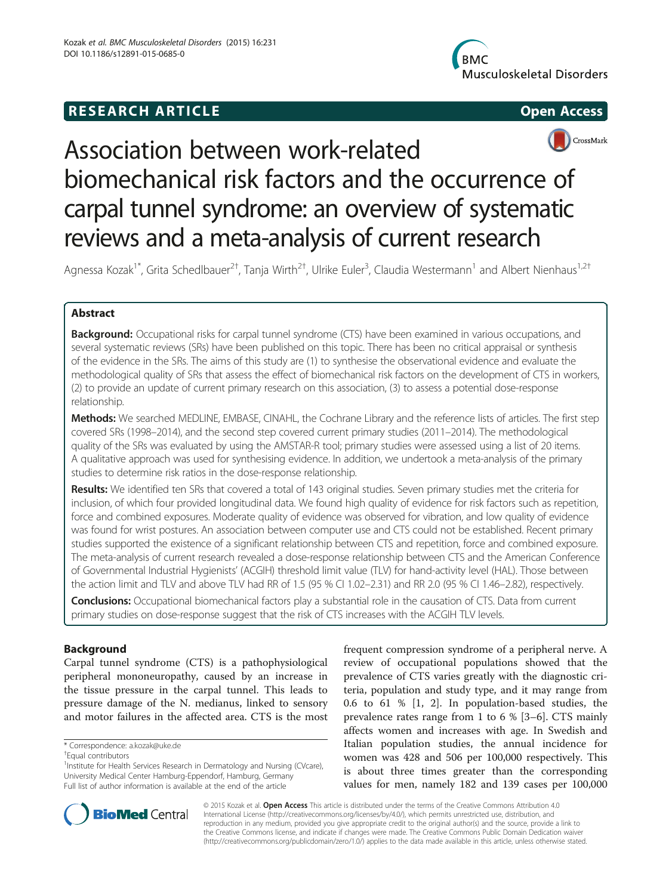# **RESEARCH ARTICLE Example 2014 12:30 The SEAR CHA RESEARCH ARTICLE**







# Association between work-related biomechanical risk factors and the occurrence of carpal tunnel syndrome: an overview of systematic reviews and a meta-analysis of current research

Agnessa Kozak<sup>1\*</sup>, Grita Schedlbauer<sup>2†</sup>, Tanja Wirth<sup>2†</sup>, Ulrike Euler<sup>3</sup>, Claudia Westermann<sup>1</sup> and Albert Nienhaus<sup>1,2†</sup>

# Abstract

**Background:** Occupational risks for carpal tunnel syndrome (CTS) have been examined in various occupations, and several systematic reviews (SRs) have been published on this topic. There has been no critical appraisal or synthesis of the evidence in the SRs. The aims of this study are (1) to synthesise the observational evidence and evaluate the methodological quality of SRs that assess the effect of biomechanical risk factors on the development of CTS in workers, (2) to provide an update of current primary research on this association, (3) to assess a potential dose-response relationship.

Methods: We searched MEDLINE, EMBASE, CINAHL, the Cochrane Library and the reference lists of articles. The first step covered SRs (1998–2014), and the second step covered current primary studies (2011–2014). The methodological quality of the SRs was evaluated by using the AMSTAR-R tool; primary studies were assessed using a list of 20 items. A qualitative approach was used for synthesising evidence. In addition, we undertook a meta-analysis of the primary studies to determine risk ratios in the dose-response relationship.

Results: We identified ten SRs that covered a total of 143 original studies. Seven primary studies met the criteria for inclusion, of which four provided longitudinal data. We found high quality of evidence for risk factors such as repetition, force and combined exposures. Moderate quality of evidence was observed for vibration, and low quality of evidence was found for wrist postures. An association between computer use and CTS could not be established. Recent primary studies supported the existence of a significant relationship between CTS and repetition, force and combined exposure. The meta-analysis of current research revealed a dose-response relationship between CTS and the American Conference of Governmental Industrial Hygienists' (ACGIH) threshold limit value (TLV) for hand-activity level (HAL). Those between the action limit and TLV and above TLV had RR of 1.5 (95 % CI 1.02–2.31) and RR 2.0 (95 % CI 1.46–2.82), respectively.

Conclusions: Occupational biomechanical factors play a substantial role in the causation of CTS. Data from current primary studies on dose-response suggest that the risk of CTS increases with the ACGIH TLV levels.

# Background

Carpal tunnel syndrome (CTS) is a pathophysiological peripheral mononeuropathy, caused by an increase in the tissue pressure in the carpal tunnel. This leads to pressure damage of the N. medianus, linked to sensory and motor failures in the affected area. CTS is the most

\* Correspondence: [a.kozak@uke.de](mailto:a.kozak@uke.de) †

frequent compression syndrome of a peripheral nerve. A review of occupational populations showed that the prevalence of CTS varies greatly with the diagnostic criteria, population and study type, and it may range from 0.6 to 61 % [[1, 2\]](#page-16-0). In population-based studies, the prevalence rates range from 1 to 6 % [[3](#page-16-0)–[6\]](#page-17-0). CTS mainly affects women and increases with age. In Swedish and Italian population studies, the annual incidence for women was 428 and 506 per 100,000 respectively. This is about three times greater than the corresponding values for men, namely 182 and 139 cases per 100,000



© 2015 Kozak et al. Open Access This article is distributed under the terms of the Creative Commons Attribution 4.0 International License [\(http://creativecommons.org/licenses/by/4.0/](http://creativecommons.org/licenses/by/4.0/)), which permits unrestricted use, distribution, and reproduction in any medium, provided you give appropriate credit to the original author(s) and the source, provide a link to the Creative Commons license, and indicate if changes were made. The Creative Commons Public Domain Dedication waiver [\(http://creativecommons.org/publicdomain/zero/1.0/](http://creativecommons.org/publicdomain/zero/1.0/)) applies to the data made available in this article, unless otherwise stated.

Equal contributors

<sup>&</sup>lt;sup>1</sup>Institute for Health Services Research in Dermatology and Nursing (CVcare), University Medical Center Hamburg-Eppendorf, Hamburg, Germany Full list of author information is available at the end of the article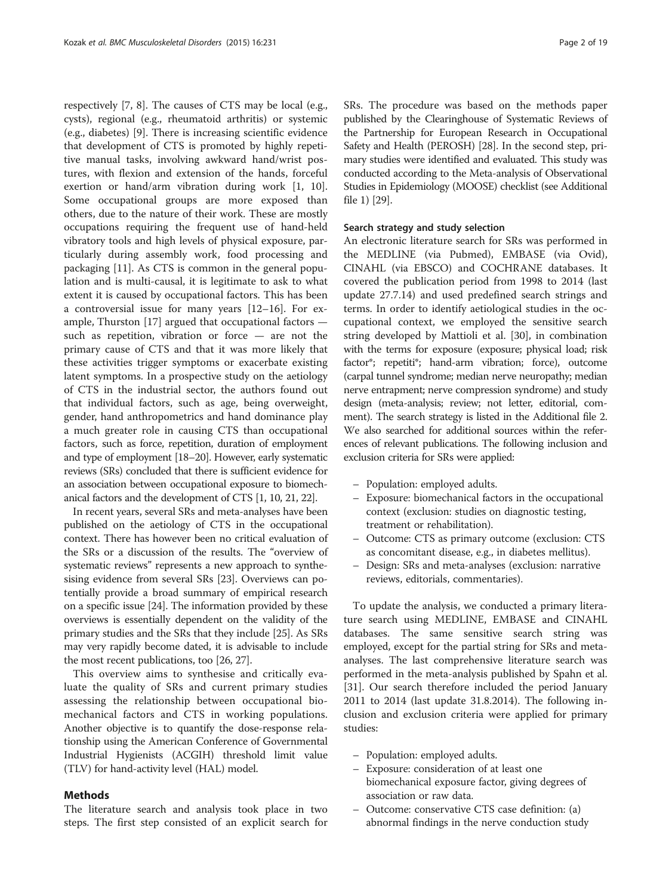respectively [[7, 8\]](#page-17-0). The causes of CTS may be local (e.g., cysts), regional (e.g., rheumatoid arthritis) or systemic (e.g., diabetes) [\[9\]](#page-17-0). There is increasing scientific evidence that development of CTS is promoted by highly repetitive manual tasks, involving awkward hand/wrist postures, with flexion and extension of the hands, forceful exertion or hand/arm vibration during work [\[1](#page-16-0), [10](#page-17-0)]. Some occupational groups are more exposed than others, due to the nature of their work. These are mostly occupations requiring the frequent use of hand-held vibratory tools and high levels of physical exposure, particularly during assembly work, food processing and packaging [[11](#page-17-0)]. As CTS is common in the general population and is multi-causal, it is legitimate to ask to what extent it is caused by occupational factors. This has been a controversial issue for many years [[12](#page-17-0)–[16](#page-17-0)]. For example, Thurston [\[17](#page-17-0)] argued that occupational factors such as repetition, vibration or force — are not the primary cause of CTS and that it was more likely that these activities trigger symptoms or exacerbate existing latent symptoms. In a prospective study on the aetiology of CTS in the industrial sector, the authors found out that individual factors, such as age, being overweight, gender, hand anthropometrics and hand dominance play a much greater role in causing CTS than occupational factors, such as force, repetition, duration of employment and type of employment [[18](#page-17-0)–[20](#page-17-0)]. However, early systematic reviews (SRs) concluded that there is sufficient evidence for an association between occupational exposure to biomechanical factors and the development of CTS [[1](#page-16-0), [10](#page-17-0), [21](#page-17-0), [22](#page-17-0)].

In recent years, several SRs and meta-analyses have been published on the aetiology of CTS in the occupational context. There has however been no critical evaluation of the SRs or a discussion of the results. The "overview of systematic reviews" represents a new approach to synthesising evidence from several SRs [[23](#page-17-0)]. Overviews can potentially provide a broad summary of empirical research on a specific issue [\[24\]](#page-17-0). The information provided by these overviews is essentially dependent on the validity of the primary studies and the SRs that they include [[25](#page-17-0)]. As SRs may very rapidly become dated, it is advisable to include the most recent publications, too [\[26](#page-17-0), [27](#page-17-0)].

This overview aims to synthesise and critically evaluate the quality of SRs and current primary studies assessing the relationship between occupational biomechanical factors and CTS in working populations. Another objective is to quantify the dose-response relationship using the American Conference of Governmental Industrial Hygienists (ACGIH) threshold limit value (TLV) for hand-activity level (HAL) model.

### Methods

The literature search and analysis took place in two steps. The first step consisted of an explicit search for SRs. The procedure was based on the methods paper published by the Clearinghouse of Systematic Reviews of the Partnership for European Research in Occupational Safety and Health (PEROSH) [\[28\]](#page-17-0). In the second step, primary studies were identified and evaluated. This study was conducted according to the Meta-analysis of Observational Studies in Epidemiology (MOOSE) checklist (see Additional file [1](#page-16-0)) [\[29\]](#page-17-0).

#### Search strategy and study selection

An electronic literature search for SRs was performed in the MEDLINE (via Pubmed), EMBASE (via Ovid), CINAHL (via EBSCO) and COCHRANE databases. It covered the publication period from 1998 to 2014 (last update 27.7.14) and used predefined search strings and terms. In order to identify aetiological studies in the occupational context, we employed the sensitive search string developed by Mattioli et al. [[30\]](#page-17-0), in combination with the terms for exposure (exposure; physical load; risk factor\*; repetiti\*; hand-arm vibration; force), outcome (carpal tunnel syndrome; median nerve neuropathy; median nerve entrapment; nerve compression syndrome) and study design (meta-analysis; review; not letter, editorial, comment). The search strategy is listed in the Additional file [2](#page-16-0). We also searched for additional sources within the references of relevant publications. The following inclusion and exclusion criteria for SRs were applied:

- Population: employed adults.
- Exposure: biomechanical factors in the occupational context (exclusion: studies on diagnostic testing, treatment or rehabilitation).
- Outcome: CTS as primary outcome (exclusion: CTS as concomitant disease, e.g., in diabetes mellitus).
- Design: SRs and meta-analyses (exclusion: narrative reviews, editorials, commentaries).

To update the analysis, we conducted a primary literature search using MEDLINE, EMBASE and CINAHL databases. The same sensitive search string was employed, except for the partial string for SRs and metaanalyses. The last comprehensive literature search was performed in the meta-analysis published by Spahn et al. [[31\]](#page-17-0). Our search therefore included the period January 2011 to 2014 (last update 31.8.2014). The following inclusion and exclusion criteria were applied for primary studies:

- Population: employed adults.
- Exposure: consideration of at least one biomechanical exposure factor, giving degrees of association or raw data.
- Outcome: conservative CTS case definition: (a) abnormal findings in the nerve conduction study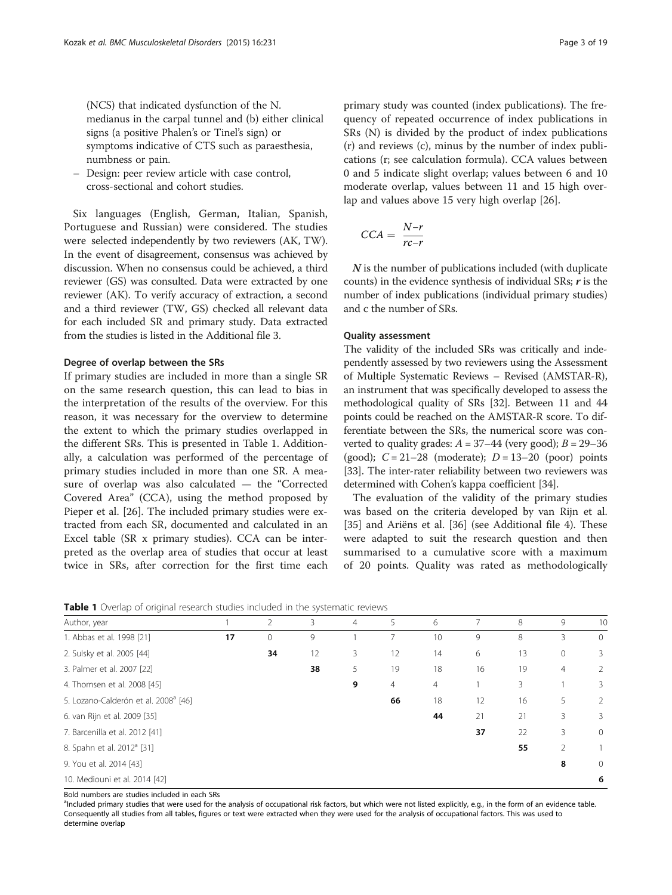<span id="page-2-0"></span>(NCS) that indicated dysfunction of the N. medianus in the carpal tunnel and (b) either clinical signs (a positive Phalen's or Tinel's sign) or symptoms indicative of CTS such as paraesthesia, numbness or pain.

– Design: peer review article with case control, cross-sectional and cohort studies.

Six languages (English, German, Italian, Spanish, Portuguese and Russian) were considered. The studies were selected independently by two reviewers (AK, TW). In the event of disagreement, consensus was achieved by discussion. When no consensus could be achieved, a third reviewer (GS) was consulted. Data were extracted by one reviewer (AK). To verify accuracy of extraction, a second and a third reviewer (TW, GS) checked all relevant data for each included SR and primary study. Data extracted from the studies is listed in the Additional file [3](#page-16-0).

#### Degree of overlap between the SRs

If primary studies are included in more than a single SR on the same research question, this can lead to bias in the interpretation of the results of the overview. For this reason, it was necessary for the overview to determine the extent to which the primary studies overlapped in the different SRs. This is presented in Table 1. Additionally, a calculation was performed of the percentage of primary studies included in more than one SR. A measure of overlap was also calculated — the "Corrected Covered Area" (CCA), using the method proposed by Pieper et al. [\[26\]](#page-17-0). The included primary studies were extracted from each SR, documented and calculated in an Excel table (SR x primary studies). CCA can be interpreted as the overlap area of studies that occur at least twice in SRs, after correction for the first time each

primary study was counted (index publications). The frequency of repeated occurrence of index publications in SRs (N) is divided by the product of index publications (r) and reviews (c), minus by the number of index publications (r; see calculation formula). CCA values between 0 and 5 indicate slight overlap; values between 6 and 10 moderate overlap, values between 11 and 15 high overlap and values above 15 very high overlap [[26](#page-17-0)].

$$
CCA = \frac{N-r}{rc-r}
$$

N is the number of publications included (with duplicate counts) in the evidence synthesis of individual SRs;  $r$  is the number of index publications (individual primary studies) and c the number of SRs.

### Quality assessment

The validity of the included SRs was critically and independently assessed by two reviewers using the Assessment of Multiple Systematic Reviews – Revised (AMSTAR-R), an instrument that was specifically developed to assess the methodological quality of SRs [\[32\]](#page-17-0). Between 11 and 44 points could be reached on the AMSTAR-R score. To differentiate between the SRs, the numerical score was converted to quality grades:  $A = 37-44$  (very good);  $B = 29-36$ (good);  $C = 21-28$  (moderate);  $D = 13-20$  (poor) points [[33](#page-17-0)]. The inter-rater reliability between two reviewers was determined with Cohen's kappa coefficient [\[34](#page-17-0)].

The evaluation of the validity of the primary studies was based on the criteria developed by van Rijn et al. [[35\]](#page-17-0) and Ariëns et al. [\[36\]](#page-17-0) (see Additional file [4](#page-16-0)). These were adapted to suit the research question and then summarised to a cumulative score with a maximum of 20 points. Quality was rated as methodologically

| <b>Table 1</b> Overlap of original research studies included in the systematic reviews |  |
|----------------------------------------------------------------------------------------|--|
|----------------------------------------------------------------------------------------|--|

| Author, year                                     |    | 2  | 3  | $\overline{4}$ | 5              | 6              |    | 8  | 9              | 10             |
|--------------------------------------------------|----|----|----|----------------|----------------|----------------|----|----|----------------|----------------|
| 1. Abbas et al. 1998 [21]                        | 17 | 0  | 9  |                |                | 10             | 9  | 8  | 3              | $\Omega$       |
| 2. Sulsky et al. 2005 [44]                       |    | 34 | 12 | 3              | 12             | 14             | 6  | 13 | 0              | 3              |
| 3. Palmer et al. 2007 [22]                       |    |    | 38 | 5              | 19             | 18             | 16 | 19 | $\overline{4}$ | 2              |
| 4. Thomsen et al. 2008 [45]                      |    |    |    | 9              | $\overline{4}$ | $\overline{4}$ |    | 3  |                | 3              |
| 5. Lozano-Calderón et al. 2008 <sup>ª</sup> [46] |    |    |    |                | 66             | 18             | 12 | 16 | 5              | $\mathcal{L}$  |
| 6. van Rijn et al. 2009 [35]                     |    |    |    |                |                | 44             | 21 | 21 | 3              | 3              |
| 7. Barcenilla et al. 2012 [41]                   |    |    |    |                |                |                | 37 | 22 | 3              | $\overline{0}$ |
| 8. Spahn et al. 2012 <sup>a</sup> [31]           |    |    |    |                |                |                |    | 55 | $\overline{2}$ |                |
| 9. You et al. 2014 [43]                          |    |    |    |                |                |                |    |    | 8              | $\mathbf{0}$   |
| 10. Mediouni et al. 2014 [42]                    |    |    |    |                |                |                |    |    |                | 6              |

Bold numbers are studies included in each SRs

<sup>a</sup>Included primary studies that were used for the analysis of occupational risk factors, but which were not listed explicitly, e.g., in the form of an evidence table. Consequently all studies from all tables, figures or text were extracted when they were used for the analysis of occupational factors. This was used to determine overlap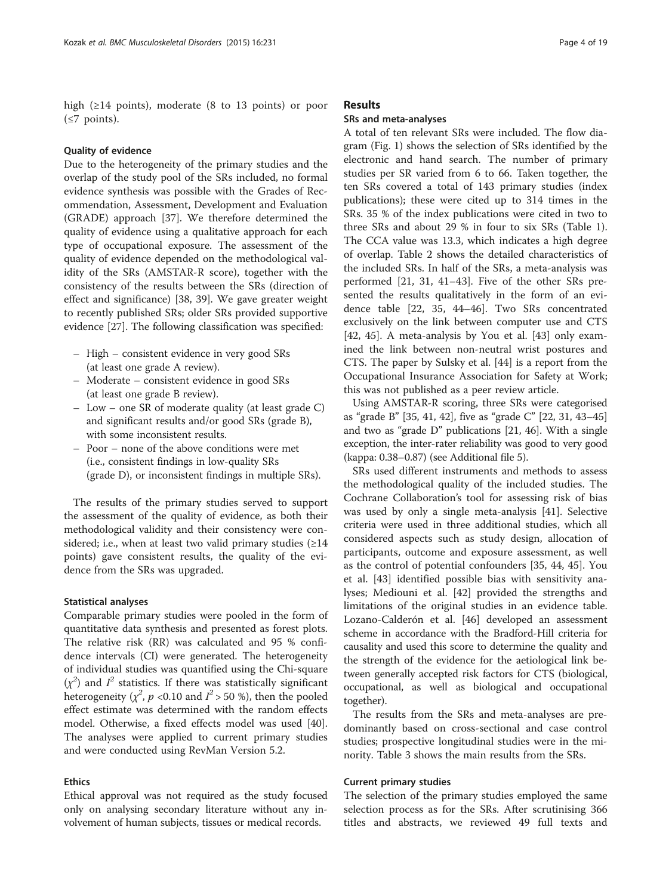high ( $\geq$ 14 points), moderate (8 to 13 points) or poor  $(\leq 7$  points).

#### Quality of evidence

Due to the heterogeneity of the primary studies and the overlap of the study pool of the SRs included, no formal evidence synthesis was possible with the Grades of Recommendation, Assessment, Development and Evaluation (GRADE) approach [\[37](#page-17-0)]. We therefore determined the quality of evidence using a qualitative approach for each type of occupational exposure. The assessment of the quality of evidence depended on the methodological validity of the SRs (AMSTAR-R score), together with the consistency of the results between the SRs (direction of effect and significance) [\[38](#page-17-0), [39\]](#page-17-0). We gave greater weight to recently published SRs; older SRs provided supportive evidence [\[27\]](#page-17-0). The following classification was specified:

- High consistent evidence in very good SRs (at least one grade A review).
- Moderate consistent evidence in good SRs (at least one grade B review).
- Low one SR of moderate quality (at least grade C) and significant results and/or good SRs (grade B), with some inconsistent results.
- Poor none of the above conditions were met (i.e., consistent findings in low-quality SRs (grade D), or inconsistent findings in multiple SRs).

The results of the primary studies served to support the assessment of the quality of evidence, as both their methodological validity and their consistency were considered; i.e., when at least two valid primary studies  $(≥14$ points) gave consistent results, the quality of the evidence from the SRs was upgraded.

#### Statistical analyses

Comparable primary studies were pooled in the form of quantitative data synthesis and presented as forest plots. The relative risk (RR) was calculated and 95 % confidence intervals (CI) were generated. The heterogeneity of individual studies was quantified using the Chi-square  $(\chi^2)$  and  $I^2$  statistics. If there was statistically significant heterogeneity ( $\chi^2$ ,  $p$  <0.10 and  $I^2$  > 50 %), then the pooled effect estimate was determined with the random effects model. Otherwise, a fixed effects model was used [\[40](#page-17-0)]. The analyses were applied to current primary studies and were conducted using RevMan Version 5.2.

### Ethics

Ethical approval was not required as the study focused only on analysing secondary literature without any involvement of human subjects, tissues or medical records.

#### Results

# SRs and meta-analyses

A total of ten relevant SRs were included. The flow diagram (Fig. [1](#page-4-0)) shows the selection of SRs identified by the electronic and hand search. The number of primary studies per SR varied from 6 to 66. Taken together, the ten SRs covered a total of 143 primary studies (index publications); these were cited up to 314 times in the SRs. 35 % of the index publications were cited in two to three SRs and about 29 % in four to six SRs (Table [1](#page-2-0)). The CCA value was 13.3, which indicates a high degree of overlap. Table [2](#page-5-0) shows the detailed characteristics of the included SRs. In half of the SRs, a meta-analysis was performed [\[21](#page-17-0), [31, 41](#page-17-0)–[43](#page-17-0)]. Five of the other SRs presented the results qualitatively in the form of an evidence table [\[22](#page-17-0), [35, 44](#page-17-0)–[46](#page-17-0)]. Two SRs concentrated exclusively on the link between computer use and CTS [[42, 45\]](#page-17-0). A meta-analysis by You et al. [[43\]](#page-17-0) only examined the link between non-neutral wrist postures and CTS. The paper by Sulsky et al. [\[44](#page-17-0)] is a report from the Occupational Insurance Association for Safety at Work; this was not published as a peer review article.

Using AMSTAR-R scoring, three SRs were categorised as "grade B" [\[35, 41](#page-17-0), [42](#page-17-0)], five as "grade C" [[22](#page-17-0), [31](#page-17-0), [43](#page-17-0)–[45](#page-17-0)] and two as "grade D" publications [\[21](#page-17-0), [46](#page-17-0)]. With a single exception, the inter-rater reliability was good to very good (kappa: 0.38–0.87) (see Additional file [5](#page-16-0)).

SRs used different instruments and methods to assess the methodological quality of the included studies. The Cochrane Collaboration's tool for assessing risk of bias was used by only a single meta-analysis [\[41](#page-17-0)]. Selective criteria were used in three additional studies, which all considered aspects such as study design, allocation of participants, outcome and exposure assessment, as well as the control of potential confounders [\[35, 44](#page-17-0), [45](#page-17-0)]. You et al. [\[43\]](#page-17-0) identified possible bias with sensitivity analyses; Mediouni et al. [[42\]](#page-17-0) provided the strengths and limitations of the original studies in an evidence table. Lozano-Calderón et al. [\[46](#page-17-0)] developed an assessment scheme in accordance with the Bradford-Hill criteria for causality and used this score to determine the quality and the strength of the evidence for the aetiological link between generally accepted risk factors for CTS (biological, occupational, as well as biological and occupational together).

The results from the SRs and meta-analyses are predominantly based on cross-sectional and case control studies; prospective longitudinal studies were in the minority. Table [3](#page-6-0) shows the main results from the SRs.

#### Current primary studies

The selection of the primary studies employed the same selection process as for the SRs. After scrutinising 366 titles and abstracts, we reviewed 49 full texts and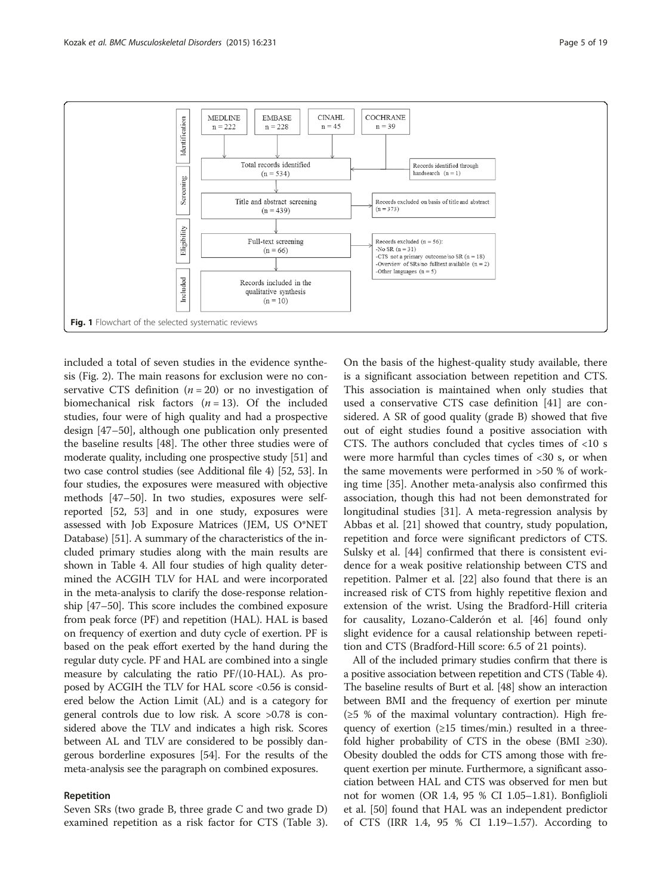<span id="page-4-0"></span>

included a total of seven studies in the evidence synthesis (Fig. [2](#page-8-0)). The main reasons for exclusion were no conservative CTS definition  $(n = 20)$  or no investigation of biomechanical risk factors  $(n = 13)$ . Of the included studies, four were of high quality and had a prospective design [\[47](#page-17-0)–[50\]](#page-17-0), although one publication only presented the baseline results [[48\]](#page-17-0). The other three studies were of moderate quality, including one prospective study [\[51\]](#page-17-0) and two case control studies (see Additional file [4\)](#page-16-0) [\[52,](#page-17-0) [53\]](#page-18-0). In four studies, the exposures were measured with objective methods [[47](#page-17-0)–[50\]](#page-17-0). In two studies, exposures were selfreported [[52](#page-17-0), [53](#page-18-0)] and in one study, exposures were assessed with Job Exposure Matrices (JEM, US O\*NET Database) [[51](#page-17-0)]. A summary of the characteristics of the included primary studies along with the main results are shown in Table [4.](#page-9-0) All four studies of high quality determined the ACGIH TLV for HAL and were incorporated in the meta-analysis to clarify the dose-response relationship [[47](#page-17-0)–[50\]](#page-17-0). This score includes the combined exposure from peak force (PF) and repetition (HAL). HAL is based on frequency of exertion and duty cycle of exertion. PF is based on the peak effort exerted by the hand during the regular duty cycle. PF and HAL are combined into a single measure by calculating the ratio PF/(10-HAL). As proposed by ACGIH the TLV for HAL score <0.56 is considered below the Action Limit (AL) and is a category for general controls due to low risk. A score >0.78 is considered above the TLV and indicates a high risk. Scores between AL and TLV are considered to be possibly dangerous borderline exposures [\[54\]](#page-18-0). For the results of the meta-analysis see the paragraph on combined exposures.

#### Repetition

Seven SRs (two grade B, three grade C and two grade D) examined repetition as a risk factor for CTS (Table [3](#page-6-0)). On the basis of the highest-quality study available, there is a significant association between repetition and CTS. This association is maintained when only studies that used a conservative CTS case definition [[41\]](#page-17-0) are considered. A SR of good quality (grade B) showed that five out of eight studies found a positive association with CTS. The authors concluded that cycles times of <10 s were more harmful than cycles times of <30 s, or when the same movements were performed in >50 % of working time [\[35](#page-17-0)]. Another meta-analysis also confirmed this association, though this had not been demonstrated for longitudinal studies [[31](#page-17-0)]. A meta-regression analysis by Abbas et al. [\[21\]](#page-17-0) showed that country, study population, repetition and force were significant predictors of CTS. Sulsky et al. [[44\]](#page-17-0) confirmed that there is consistent evidence for a weak positive relationship between CTS and repetition. Palmer et al. [\[22\]](#page-17-0) also found that there is an increased risk of CTS from highly repetitive flexion and extension of the wrist. Using the Bradford-Hill criteria for causality, Lozano-Calderón et al. [[46\]](#page-17-0) found only slight evidence for a causal relationship between repetition and CTS (Bradford-Hill score: 6.5 of 21 points).

All of the included primary studies confirm that there is a positive association between repetition and CTS (Table [4](#page-9-0)). The baseline results of Burt et al. [[48](#page-17-0)] show an interaction between BMI and the frequency of exertion per minute (≥5 % of the maximal voluntary contraction). High frequency of exertion  $(\geq 15$  times/min.) resulted in a threefold higher probability of CTS in the obese (BMI  $\geq 30$ ). Obesity doubled the odds for CTS among those with frequent exertion per minute. Furthermore, a significant association between HAL and CTS was observed for men but not for women (OR 1.4, 95 % CI 1.05–1.81). Bonfiglioli et al. [\[50\]](#page-17-0) found that HAL was an independent predictor of CTS (IRR 1.4, 95 % CI 1.19–1.57). According to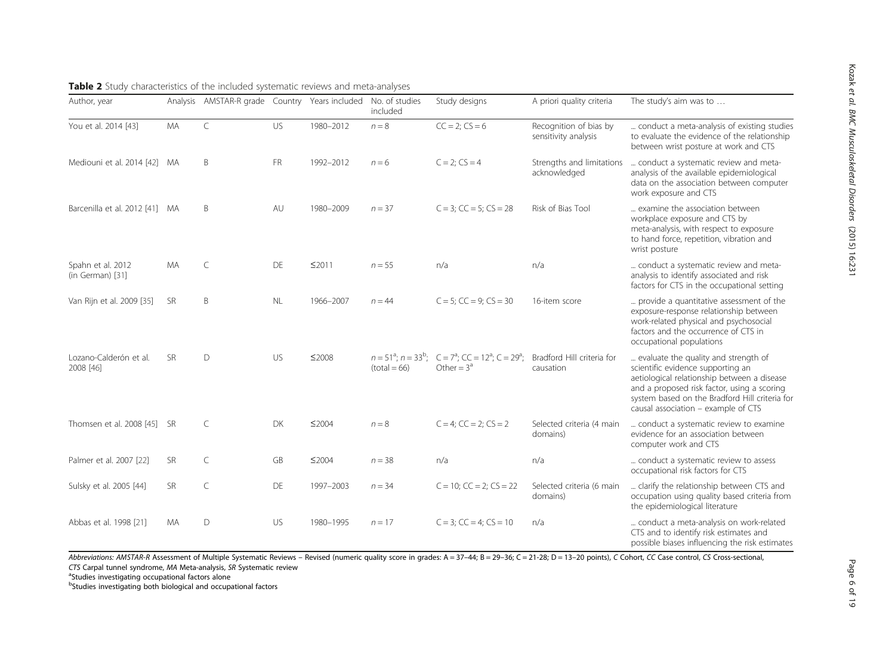| Author, year                          |           | Analysis AMSTAR-R grade Country Years included |           |             | No. of studies<br>included | Study designs                                                                     | A priori quality criteria                      | The study's aim was to                                                                                                                                                                                                                                           |
|---------------------------------------|-----------|------------------------------------------------|-----------|-------------|----------------------------|-----------------------------------------------------------------------------------|------------------------------------------------|------------------------------------------------------------------------------------------------------------------------------------------------------------------------------------------------------------------------------------------------------------------|
| You et al. 2014 [43]                  | <b>MA</b> | C                                              | US        | 1980-2012   | $n = 8$                    | $CC = 2$ ; $CS = 6$                                                               | Recognition of bias by<br>sensitivity analysis | conduct a meta-analysis of existing studies<br>to evaluate the evidence of the relationship<br>between wrist posture at work and CTS                                                                                                                             |
| Mediouni et al. 2014 [42] MA          |           | B                                              | FR.       | 1992-2012   | $n = 6$                    | $C = 2$ ; $CS = 4$                                                                | Strengths and limitations<br>acknowledged      | conduct a systematic review and meta-<br>analysis of the available epidemiological<br>data on the association between computer<br>work exposure and CTS                                                                                                          |
| Barcenilla et al. 2012 [41] MA        |           | B                                              | AU        | 1980-2009   | $n = 37$                   | $C = 3$ ; $CC = 5$ ; $CS = 28$                                                    | Risk of Bias Tool                              | examine the association between<br>workplace exposure and CTS by<br>meta-analysis, with respect to exposure<br>to hand force, repetition, vibration and<br>wrist posture                                                                                         |
| Spahn et al. 2012<br>(in German) [31] | <b>MA</b> | C                                              | DE        | $\leq 2011$ | $n = 55$                   | n/a                                                                               | n/a                                            | conduct a systematic review and meta-<br>analysis to identify associated and risk<br>factors for CTS in the occupational setting                                                                                                                                 |
| Van Rijn et al. 2009 [35]             | <b>SR</b> | B                                              | NL        | 1966-2007   | $n = 44$                   | $C = 5$ ; $CC = 9$ ; $CS = 30$                                                    | 16-item score                                  | provide a quantitative assessment of the<br>exposure-response relationship between<br>work-related physical and psychosocial<br>factors and the occurrence of CTS in<br>occupational populations                                                                 |
| Lozano-Calderón et al.<br>2008 [46]   | <b>SR</b> | D                                              | US        | $≤2008$     | $(total = 66)$             | $n = 51^a$ ; $n = 33^b$ ; $C = 7^a$ ; $CC = 12^a$ ; $C = 29^a$ ;<br>Other = $3^a$ | Bradford Hill criteria for<br>causation        | evaluate the quality and strength of<br>scientific evidence supporting an<br>aetiological relationship between a disease<br>and a proposed risk factor, using a scoring<br>system based on the Bradford Hill criteria for<br>causal association - example of CTS |
| Thomsen et al. 2008 [45] SR           |           | C                                              | DK        | $≤2004$     | $n = 8$                    | $C = 4$ ; $CC = 2$ ; $CS = 2$                                                     | Selected criteria (4 main<br>domains)          | conduct a systematic review to examine<br>evidence for an association between<br>computer work and CTS                                                                                                                                                           |
| Palmer et al. 2007 [22]               | SR        | C                                              | <b>GB</b> | $≤2004$     | $n = 38$                   | n/a                                                                               | n/a                                            | conduct a systematic review to assess<br>occupational risk factors for CTS                                                                                                                                                                                       |
| Sulsky et al. 2005 [44]               | SR        | C                                              | DE        | 1997-2003   | $n = 34$                   | $C = 10$ ; $CC = 2$ ; $CS = 22$                                                   | Selected criteria (6 main<br>domains)          | clarify the relationship between CTS and<br>occupation using quality based criteria from<br>the epidemiological literature                                                                                                                                       |
| Abbas et al. 1998 [21]                | <b>MA</b> | D                                              | US        | 1980-1995   | $n = 17$                   | $C = 3$ ; $CC = 4$ ; $CS = 10$                                                    | n/a                                            | conduct a meta-analysis on work-related<br>CTS and to identify risk estimates and<br>possible biases influencing the risk estimates                                                                                                                              |

# <span id="page-5-0"></span>Table 2 Study characteristics of the included systematic reviews and meta-analyses

Abbreviations: AMSTAR-R Assessment of Multiple Systematic Reviews – Revised (numeric quality score in grades: A = 37-44; B = 29-36; C = 21-28; D = 13-20 points), C Cohort, CC Case control, CS Cross-sectional, CTS Carpal tunnel syndrome, MA Meta-analysis, SR Systematic review

<sup>a</sup>Studies investigating occupational factors alone

<sup>b</sup>Studies investigating both biological and occupational factors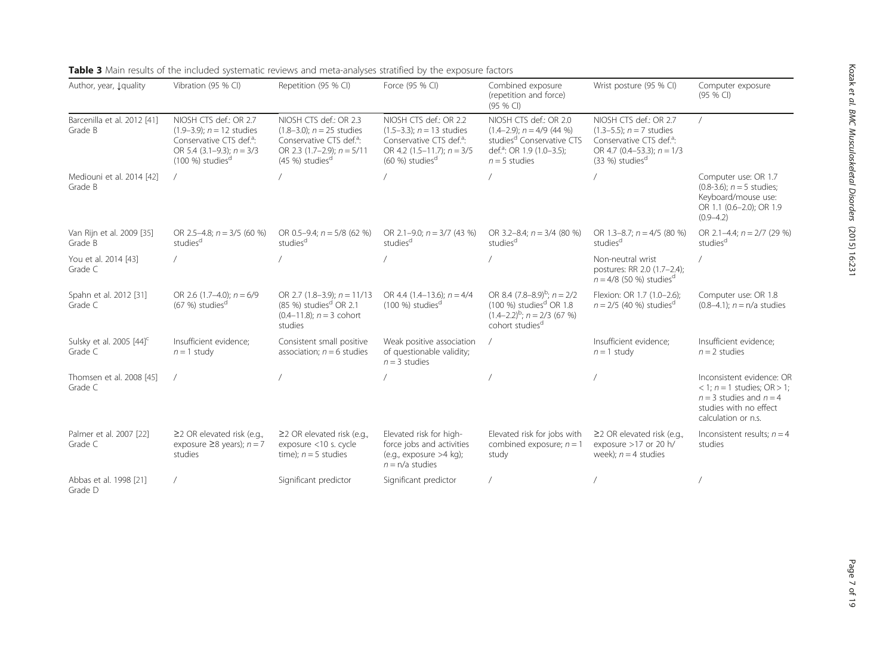| Author, year, Jquality                          | Vibration (95 % CI)                                                                                                                                               | Repetition (95 % CI)                                                                                                                                                | Force (95 % CI)                                                                                                                                                      | Combined exposure<br>(repetition and force)<br>(95 % CI)                                                                                                      | Wrist posture (95 % CI)                                                                                                                                         | Computer exposure<br>(95 % CI)                                                                                                             |
|-------------------------------------------------|-------------------------------------------------------------------------------------------------------------------------------------------------------------------|---------------------------------------------------------------------------------------------------------------------------------------------------------------------|----------------------------------------------------------------------------------------------------------------------------------------------------------------------|---------------------------------------------------------------------------------------------------------------------------------------------------------------|-----------------------------------------------------------------------------------------------------------------------------------------------------------------|--------------------------------------------------------------------------------------------------------------------------------------------|
| Barcenilla et al. 2012 [41]<br>Grade B          | NIOSH CTS def.: OR 2.7<br>$(1.9-3.9)$ ; $n = 12$ studies<br>Conservative CTS def. <sup>a</sup> :<br>OR 5.4 (3.1–9.3); $n = 3/3$<br>$(100\%)$ studies <sup>d</sup> | NIOSH CTS def.: OR 2.3<br>$(1.8-3.0)$ ; $n = 25$ studies<br>Conservative CTS def. <sup>a</sup> :<br>OR 2.3 $(1.7-2.9)$ ; $n = 5/11$<br>$(45%)$ studies <sup>d</sup> | NIOSH CTS def.: OR 2.2<br>$(1.5-3.3)$ ; $n = 13$ studies<br>Conservative CTS def. <sup>a</sup> :<br>OR 4.2 $(1.5-11.7)$ ; $n = 3/5$<br>$(60\%)$ studies <sup>d</sup> | NIOSH CTS def.: OR 2.0<br>$(1.4-2.9)$ ; $n = 4/9$ (44 %)<br>studies <sup>d</sup> Conservative CTS<br>def. <sup>a</sup> : OR 1.9 (1.0-3.5);<br>$n = 5$ studies | NIOSH CTS def.: OR 2.7<br>$(1.3-5.5)$ ; $n = 7$ studies<br>Conservative CTS def. <sup>a</sup> :<br>OR 4.7 (0.4-53.3); $n = 1/3$<br>$(33%)$ studies <sup>d</sup> | $\sqrt{2}$                                                                                                                                 |
| Mediouni et al. 2014 [42]<br>Grade B            | $\prime$                                                                                                                                                          |                                                                                                                                                                     |                                                                                                                                                                      |                                                                                                                                                               |                                                                                                                                                                 | Computer use: OR 1.7<br>$(0.8-3.6)$ ; $n = 5$ studies;<br>Keyboard/mouse use:<br>OR 1.1 (0.6-2.0); OR 1.9<br>$(0.9 - 4.2)$                 |
| Van Rijn et al. 2009 [35]<br>Grade B            | OR 2.5-4.8; $n = 3/5$ (60 %)<br>studies <sup>d</sup>                                                                                                              | OR 0.5-9.4: $n = 5/8$ (62 %)<br>studies <sup>d</sup>                                                                                                                | OR 2.1-9.0: $n = 3/7$ (43 %)<br>studies <sup>d</sup>                                                                                                                 | OR 3.2-8.4: $n = 3/4$ (80 %)<br>studies <sup>d</sup>                                                                                                          | OR 1.3-8.7: $n = 4/5$ (80 %)<br>studies <sup>d</sup>                                                                                                            | OR 2.1-4.4; $n = 2/7$ (29 %)<br>studies <sup>d</sup>                                                                                       |
| You et al. 2014 [43]<br>Grade C                 |                                                                                                                                                                   |                                                                                                                                                                     |                                                                                                                                                                      |                                                                                                                                                               | Non-neutral wrist<br>postures: RR 2.0 (1.7-2.4);<br>$n = 4/8$ (50 %) studies <sup>d</sup>                                                                       | $\prime$                                                                                                                                   |
| Spahn et al. 2012 [31]<br>Grade C               | OR 2.6 $(1.7-4.0)$ ; $n = 6/9$<br>$(67%)$ studies <sup>d</sup>                                                                                                    | OR 2.7 $(1.8-3.9)$ ; $n = 11/13$<br>(85 %) studies <sup>d</sup> OR 2.1<br>$(0.4-11.8)$ ; $n = 3$ cohort<br>studies                                                  | OR 4.4 (1.4–13.6); $n = 4/4$<br>$(100\%)$ studies <sup>d</sup>                                                                                                       | OR 8.4 $(7.8-8.9)^b$ ; $n = 2/2$<br>$(100\%)$ studies <sup>d</sup> OR 1.8<br>$(1.4-2.2)^{b}$ ; $n = 2/3$ (67 %)<br>cohort studies <sup>d</sup>                | Flexion: OR 1.7 (1.0-2.6);<br>$n = 2/5$ (40 %) studies <sup>d</sup>                                                                                             | Computer use: OR 1.8<br>$(0.8-4.1)$ ; $n = n/a$ studies                                                                                    |
| Sulsky et al. 2005 [44] <sup>c</sup><br>Grade C | Insufficient evidence:<br>$n = 1$ study                                                                                                                           | Consistent small positive<br>association; $n = 6$ studies                                                                                                           | Weak positive association<br>of questionable validity;<br>$n = 3$ studies                                                                                            |                                                                                                                                                               | Insufficient evidence;<br>$n = 1$ study                                                                                                                         | Insufficient evidence;<br>$n = 2$ studies                                                                                                  |
| Thomsen et al. 2008 [45]<br>Grade C             |                                                                                                                                                                   |                                                                                                                                                                     |                                                                                                                                                                      |                                                                                                                                                               |                                                                                                                                                                 | Inconsistent evidence: OR<br>< 1; $n = 1$ studies; OR > 1;<br>$n = 3$ studies and $n = 4$<br>studies with no effect<br>calculation or n.s. |
| Palmer et al. 2007 [22]<br>Grade C              | $\geq$ 2 OR elevated risk (e.g.,<br>exposure $\geq$ 8 years); $n = 7$<br>studies                                                                                  | $\geq$ 2 OR elevated risk (e.g.,<br>exposure <10 s. cycle<br>time); $n = 5$ studies                                                                                 | Elevated risk for high-<br>force jobs and activities<br>(e.g., exposure $>4$ kg);<br>$n = n/a$ studies                                                               | Elevated risk for jobs with<br>combined exposure; $n = 1$<br>study                                                                                            | $\geq$ 2 OR elevated risk (e.g.,<br>exposure >17 or 20 h/<br>week); $n = 4$ studies                                                                             | Inconsistent results; $n = 4$<br>studies                                                                                                   |
| Abbas et al. 1998 [21]<br>Grade D               | $\prime$                                                                                                                                                          | Significant predictor                                                                                                                                               | Significant predictor                                                                                                                                                |                                                                                                                                                               |                                                                                                                                                                 |                                                                                                                                            |

<span id="page-6-0"></span>Table 3 Main results of the included systematic reviews and meta-analyses stratified by the exposure factors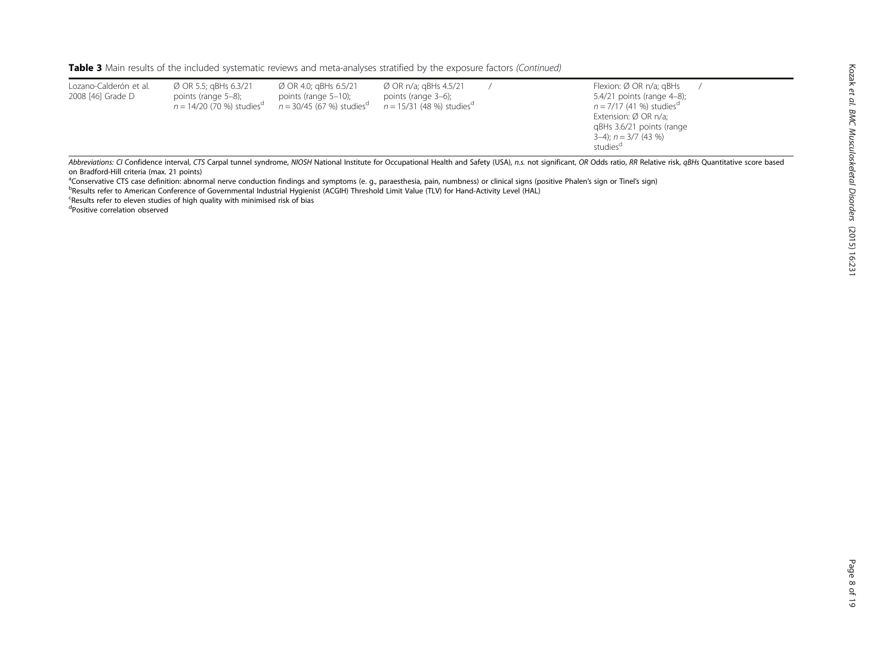Table 3 Main results of the included systematic reviews and meta-analyses stratified by the exposure factors (Continued)

| Lozano-Calderón et al.<br>2008 [46] Grade D | Ø OR 5.5; gBHs 6.3/21<br>points (range 5-8);<br>$n = 14/20$ (70 %) studies <sup>d</sup> | Ø OR 4.0; gBHs 6.5/21<br>points (range 5-10);<br>$n = 30/45$ (67 %) studies <sup>d</sup> | $\varnothing$ OR n/a; gBHs 4.5/21<br>points (range 3-6);<br>$n = 15/31$ (48 %) studies <sup>d</sup> |  | Flexion: Ø OR n/a; gBHs<br>5.4/21 points (range $4-8$ );<br>$n = 7/17$ (41 %) studies <sup>a</sup><br>Extension: Ø OR n/a;<br>qBHs 3.6/21 points (range<br>$3-4$ : $n = 3/7$ (43 %)<br>studies <sup>d</sup> |  |
|---------------------------------------------|-----------------------------------------------------------------------------------------|------------------------------------------------------------------------------------------|-----------------------------------------------------------------------------------------------------|--|-------------------------------------------------------------------------------------------------------------------------------------------------------------------------------------------------------------|--|
|---------------------------------------------|-----------------------------------------------------------------------------------------|------------------------------------------------------------------------------------------|-----------------------------------------------------------------------------------------------------|--|-------------------------------------------------------------------------------------------------------------------------------------------------------------------------------------------------------------|--|

Abbreviations: CI Confidence interval, CTS Carpal tunnel syndrome, NIOSH National Institute for Occupational Health and Safety (USA), n.s. not significant, OR Odds ratio, RR Relative risk, qBHs Quantitative score based on Bradford-Hill criteria (max. 21 points)

<sup>a</sup>Conservative CTS case definition: abnormal nerve conduction findings and symptoms (e. g., paraesthesia, pain, numbness) or clinical signs (positive Phalen's sign or Tinel's sign)<br><sup>b</sup>Results refer to American Conference

**PResults refer to American Conference of Governmental Industrial Hygienist (ACGIH) Threshold Limit Value (TLV) for Hand-Activity Level (HAL)** 

<sup>c</sup>Results refer to eleven studies of high quality with minimised risk of bias

<sup>d</sup>Positive correlation observed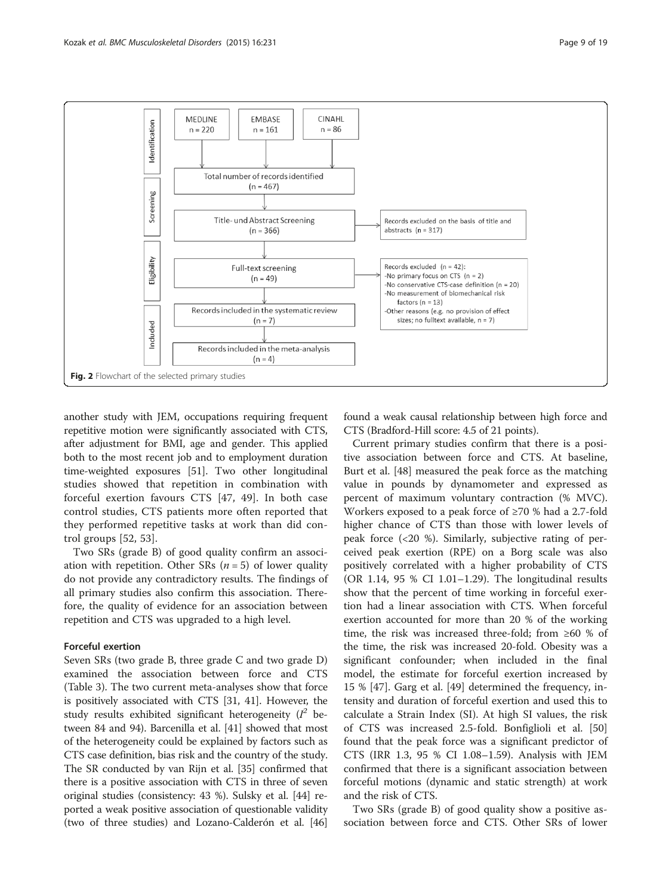<span id="page-8-0"></span>

another study with JEM, occupations requiring frequent repetitive motion were significantly associated with CTS, after adjustment for BMI, age and gender. This applied both to the most recent job and to employment duration time-weighted exposures [\[51](#page-17-0)]. Two other longitudinal studies showed that repetition in combination with forceful exertion favours CTS [\[47](#page-17-0), [49\]](#page-17-0). In both case control studies, CTS patients more often reported that they performed repetitive tasks at work than did control groups [[52](#page-17-0), [53](#page-18-0)].

Two SRs (grade B) of good quality confirm an association with repetition. Other SRs  $(n = 5)$  of lower quality do not provide any contradictory results. The findings of all primary studies also confirm this association. Therefore, the quality of evidence for an association between repetition and CTS was upgraded to a high level.

# Forceful exertion

Seven SRs (two grade B, three grade C and two grade D) examined the association between force and CTS (Table [3\)](#page-6-0). The two current meta-analyses show that force is positively associated with CTS [\[31, 41\]](#page-17-0). However, the study results exhibited significant heterogeneity  $(l^2$  between 84 and 94). Barcenilla et al. [[41\]](#page-17-0) showed that most of the heterogeneity could be explained by factors such as CTS case definition, bias risk and the country of the study. The SR conducted by van Rijn et al. [[35](#page-17-0)] confirmed that there is a positive association with CTS in three of seven original studies (consistency: 43 %). Sulsky et al. [\[44](#page-17-0)] reported a weak positive association of questionable validity (two of three studies) and Lozano-Calderón et al. [[46](#page-17-0)]

found a weak causal relationship between high force and CTS (Bradford-Hill score: 4.5 of 21 points).

Current primary studies confirm that there is a positive association between force and CTS. At baseline, Burt et al. [\[48\]](#page-17-0) measured the peak force as the matching value in pounds by dynamometer and expressed as percent of maximum voluntary contraction (% MVC). Workers exposed to a peak force of ≥70 % had a 2.7-fold higher chance of CTS than those with lower levels of peak force (<20 %). Similarly, subjective rating of perceived peak exertion (RPE) on a Borg scale was also positively correlated with a higher probability of CTS (OR 1.14, 95 % CI 1.01–1.29). The longitudinal results show that the percent of time working in forceful exertion had a linear association with CTS. When forceful exertion accounted for more than 20 % of the working time, the risk was increased three-fold; from ≥60 % of the time, the risk was increased 20-fold. Obesity was a significant confounder; when included in the final model, the estimate for forceful exertion increased by 15 % [\[47\]](#page-17-0). Garg et al. [\[49](#page-17-0)] determined the frequency, intensity and duration of forceful exertion and used this to calculate a Strain Index (SI). At high SI values, the risk of CTS was increased 2.5-fold. Bonfiglioli et al. [[50](#page-17-0)] found that the peak force was a significant predictor of CTS (IRR 1.3, 95 % CI 1.08–1.59). Analysis with JEM confirmed that there is a significant association between forceful motions (dynamic and static strength) at work and the risk of CTS.

Two SRs (grade B) of good quality show a positive association between force and CTS. Other SRs of lower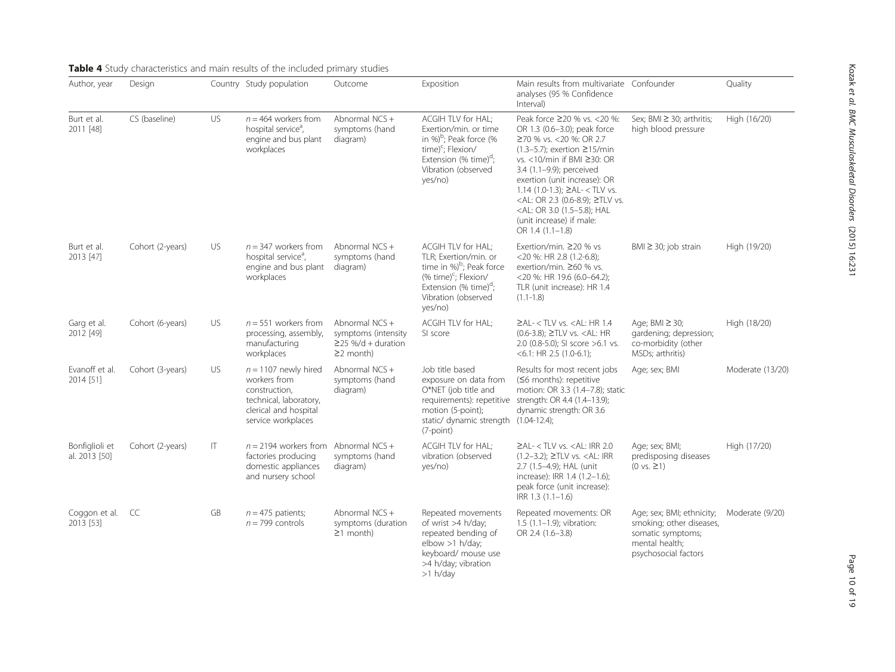| Author, year                    | Design           |              | Country Study population                                                                                                         | Outcome                                                                              | Exposition                                                                                                                                                                             | Main results from multivariate Confounder<br>analyses (95 % Confidence<br>Interval)                                                                                                                                                                                                                                                                                                                                 |                                                                                                                      | Quality          |
|---------------------------------|------------------|--------------|----------------------------------------------------------------------------------------------------------------------------------|--------------------------------------------------------------------------------------|----------------------------------------------------------------------------------------------------------------------------------------------------------------------------------------|---------------------------------------------------------------------------------------------------------------------------------------------------------------------------------------------------------------------------------------------------------------------------------------------------------------------------------------------------------------------------------------------------------------------|----------------------------------------------------------------------------------------------------------------------|------------------|
| Burt et al.<br>2011 [48]        | CS (baseline)    | <b>US</b>    | $n = 464$ workers from<br>hospital service <sup>a</sup> ,<br>engine and bus plant<br>workplaces                                  | Abnormal NCS +<br>symptoms (hand<br>diagram)                                         | ACGIH TLV for HAL:<br>Exertion/min. or time<br>in %) $^b$ ; Peak force (%<br>time) <sup>c</sup> ; Flexion/<br>Extension (% time) $d$ ;<br>Vibration (observed<br>yes/no)               | Peak force ≥20 % vs. <20 %:<br>OR 1.3 (0.6-3.0); peak force<br>≥70 % vs. <20 %: OR 2.7<br>$(1.3-5.7)$ ; exertion ≥15/min<br>vs. <10/min if BMI ≥30: OR<br>3.4 (1.1-9.9); perceived<br>exertion (unit increase): OR<br>1.14 (1.0-1.3); $\geq$ AL- < TLV vs.<br><al: (0.6-8.9);="" 2.3="" or="" vs.<br="" ≥tlv=""><al: (1.5-5.8);="" 3.0="" hal<br="" or="">(unit increase) if male:<br/>OR 1.4 (1.1-1.8)</al:></al:> | Sex; BMI ≥ 30; arthritis;<br>high blood pressure                                                                     | High (16/20)     |
| Burt et al.<br>2013 [47]        | Cohort (2-years) | US           | $n = 347$ workers from<br>hospital service <sup>a</sup> ,<br>engine and bus plant<br>workplaces                                  | Abnormal $NCS +$<br>symptoms (hand<br>diagram)                                       | ACGIH TLV for HAL;<br>TLR; Exertion/min. or<br>time in $%$ <sup>b</sup> ; Peak force<br>(% time) <sup>c</sup> ; Flexion/<br>Extension (% time) $d$ ;<br>Vibration (observed<br>yes/no) | Exertion/min. ≥20 % vs<br><20 %: HR 2.8 (1.2-6.8);<br>exertion/min. ≥60 % vs.<br><20 %: HR 19.6 (6.0-64.2);<br>TLR (unit increase): HR 1.4<br>$(1.1 - 1.8)$                                                                                                                                                                                                                                                         | $BMI \geq 30$ ; job strain                                                                                           | High (19/20)     |
| Garg et al.<br>2012 [49]        | Cohort (6-years) | US.          | $n = 551$ workers from<br>processing, assembly,<br>manufacturing<br>workplaces                                                   | Abnormal NCS +<br>symptoms (intensity<br>$\geq$ 25 %/d + duration<br>$\geq$ 2 month) | ACGIH TLV for HAL;<br>SI score                                                                                                                                                         | $\geq$ AL- < TLV vs. < AL: HR 1.4<br>(0.6-3.8); ≥TLV vs. <al: hr<br="">2.0 (0.8-5.0); SI score &gt;6.1 vs.<br/>&lt;6.1: HR 2.5 (1.0-6.1);</al:>                                                                                                                                                                                                                                                                     | Age; $BM \geq 30$ ;<br>gardening; depression;<br>co-morbidity (other<br>MSDs; arthritis)                             | High (18/20)     |
| Evanoff et al.<br>2014 [51]     | Cohort (3-years) | US           | $n = 1107$ newly hired<br>workers from<br>construction.<br>technical, laboratory,<br>clerical and hospital<br>service workplaces | Abnormal $NCS +$<br>symptoms (hand<br>diagram)                                       | Job title based<br>exposure on data from<br>O*NET (job title and<br>motion (5-point);<br>static/ dynamic strength (1.04-12.4);<br>(7-point)                                            | Results for most recent jobs<br>$(56$ months): repetitive<br>motion: OR 3.3 (1.4-7.8); static<br>requirements): repetitive strength: OR 4.4 (1.4-13.9);<br>dynamic strength: OR 3.6                                                                                                                                                                                                                                 | Age; sex; BMI                                                                                                        | Moderate (13/20) |
| Bonfiglioli et<br>al. 2013 [50] | Cohort (2-years) | $\mathsf{I}$ | $n = 2194$ workers from<br>factories producing<br>domestic appliances<br>and nursery school                                      | Abnormal NCS +<br>symptoms (hand<br>diagram)                                         | ACGIH TLV for HAL;<br>vibration (observed<br>yes/no)                                                                                                                                   | $\geq$ AL- < TLV vs. < AL: IRR 2.0<br>(1.2-3.2); ≥TLV vs. <al: irr<br="">2.7 (1.5-4.9); HAL (unit<br/>increase): IRR 1.4 (1.2-1.6);<br/>peak force (unit increase):<br/>IRR 1.3 (1.1-1.6)</al:>                                                                                                                                                                                                                     | Age; sex; BMI;<br>predisposing diseases<br>$(0 \text{ vs. } \ge 1)$                                                  | High (17/20)     |
| Coggon et al.<br>2013 [53]      | CC               | <b>GB</b>    | $n = 475$ patients;<br>$n = 799$ controls                                                                                        | Abnormal NCS +<br>symptoms (duration<br>$\geq$ 1 month)                              | Repeated movements<br>of wrist >4 h/day;<br>repeated bending of<br>elbow $>1$ h/day;<br>keyboard/ mouse use<br>>4 h/day; vibration<br>$>1$ h/day                                       | Repeated movements: OR<br>1.5 (1.1-1.9); vibration:<br>OR 2.4 (1.6-3.8)                                                                                                                                                                                                                                                                                                                                             | Age; sex; BMI; ethnicity;<br>smoking; other diseases,<br>somatic symptoms;<br>mental health;<br>psychosocial factors | Moderate (9/20)  |

<span id="page-9-0"></span>**Table 4** Study characteristics and main results of the included primary studies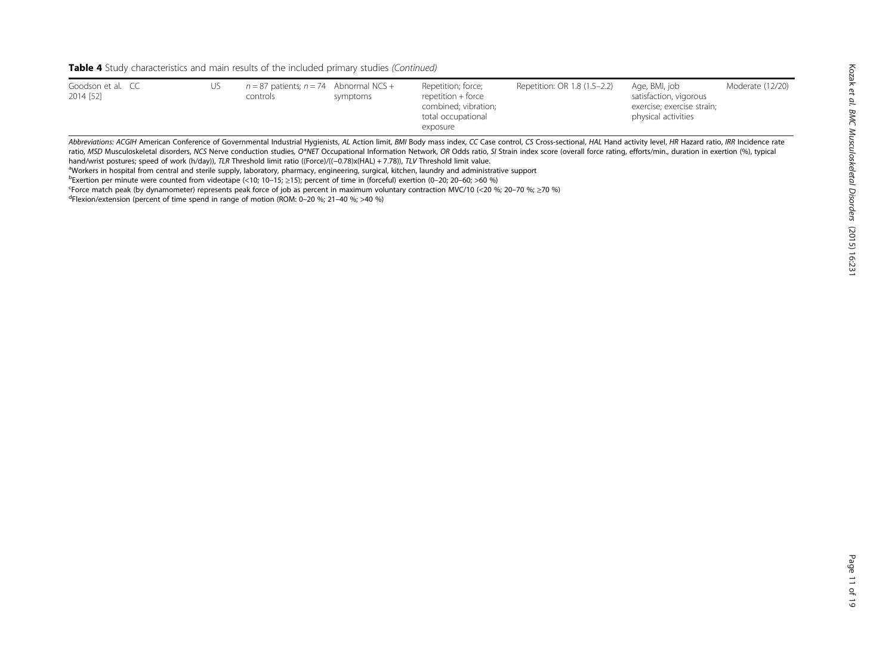Table 4 Study characteristics and main results of the included primary studies (Continued)

| $n = 87$ patients; $n = 74$ Abnormal NCS +<br>Goodson et al. CC<br>2014 [52]<br>controls<br>symptoms | Repetition; force;<br>repetition + force<br>combined; vibration;<br>total occupational<br>exposure | Repetition: OR 1.8 (1.5–2.2) | Age, BMI, job<br>satisfaction, vigorous<br>exercise; exercise strain;<br>physical activities | Moderate (12/20) |
|------------------------------------------------------------------------------------------------------|----------------------------------------------------------------------------------------------------|------------------------------|----------------------------------------------------------------------------------------------|------------------|
|------------------------------------------------------------------------------------------------------|----------------------------------------------------------------------------------------------------|------------------------------|----------------------------------------------------------------------------------------------|------------------|

Abbreviations: ACGIH American Conference of Governmental Industrial Hygienists, AL Action limit, BMI Body mass index, CC Case control, CS Cross-sectional, HAL Hand activity level, HR Hazard ratio, IRR Incidence rate ratio, MSD Musculoskeletal disorders, NCS Nerve conduction studies, O\*NET Occupational Information Network, OR Odds ratio, SI Strain index score (overall force rating, efforts/min., duration in exertion (%), typical hand/wrist postures; speed of work (h/day)), TLR Threshold limit ratio ((Force)/((−0.78)x(HAL) + 7.78)), TLV Threshold limit value.

aWorkers in hospital from central and sterile supply, laboratory, pharmacy, engineering, surgical, kitchen, laundry and administrative support

bExertion per minute were counted from videotape (<10; 10−15; ≥15); percent of time in (forceful) exertion (0–20; 20–60; >60 %)<br><sup>c</sup>Eorce match peak (by dynamometer) represents peak force of iph as percent in maximum volun

Force match peak (by dynamometer) represents peak force of job as percent in maximum voluntary contraction MVC/10 (<20 %; 20-70 %; ≥70 %)

Flexion/extension (percent of time spend in range of motion (ROM: 0–20 %; 21–40 %; >40 %)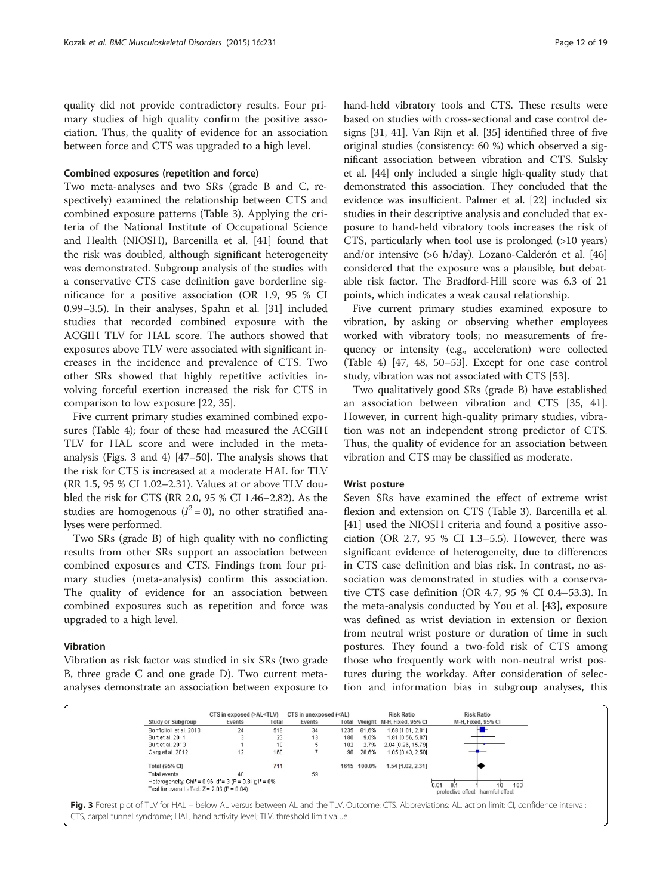<span id="page-11-0"></span>quality did not provide contradictory results. Four primary studies of high quality confirm the positive association. Thus, the quality of evidence for an association between force and CTS was upgraded to a high level.

#### Combined exposures (repetition and force)

Two meta-analyses and two SRs (grade B and C, respectively) examined the relationship between CTS and combined exposure patterns (Table [3\)](#page-6-0). Applying the criteria of the National Institute of Occupational Science and Health (NIOSH), Barcenilla et al. [[41\]](#page-17-0) found that the risk was doubled, although significant heterogeneity was demonstrated. Subgroup analysis of the studies with a conservative CTS case definition gave borderline significance for a positive association (OR 1.9, 95 % CI 0.99–3.5). In their analyses, Spahn et al. [[31\]](#page-17-0) included studies that recorded combined exposure with the ACGIH TLV for HAL score. The authors showed that exposures above TLV were associated with significant increases in the incidence and prevalence of CTS. Two other SRs showed that highly repetitive activities involving forceful exertion increased the risk for CTS in comparison to low exposure [[22, 35\]](#page-17-0).

Five current primary studies examined combined exposures (Table [4\)](#page-9-0); four of these had measured the ACGIH TLV for HAL score and were included in the metaanalysis (Figs. 3 and [4](#page-12-0)) [\[47](#page-17-0)–[50](#page-17-0)]. The analysis shows that the risk for CTS is increased at a moderate HAL for TLV (RR 1.5, 95 % CI 1.02–2.31). Values at or above TLV doubled the risk for CTS (RR 2.0, 95 % CI 1.46–2.82). As the studies are homogenous ( $I^2 = 0$ ), no other stratified analyses were performed.

Two SRs (grade B) of high quality with no conflicting results from other SRs support an association between combined exposures and CTS. Findings from four primary studies (meta-analysis) confirm this association. The quality of evidence for an association between combined exposures such as repetition and force was upgraded to a high level.

#### Vibration

Vibration as risk factor was studied in six SRs (two grade B, three grade C and one grade D). Two current metaanalyses demonstrate an association between exposure to hand-held vibratory tools and CTS. These results were based on studies with cross-sectional and case control designs [\[31, 41](#page-17-0)]. Van Rijn et al. [\[35\]](#page-17-0) identified three of five original studies (consistency: 60 %) which observed a significant association between vibration and CTS. Sulsky et al. [\[44](#page-17-0)] only included a single high-quality study that demonstrated this association. They concluded that the evidence was insufficient. Palmer et al. [\[22](#page-17-0)] included six studies in their descriptive analysis and concluded that exposure to hand-held vibratory tools increases the risk of CTS, particularly when tool use is prolonged (>10 years) and/or intensive (>6 h/day). Lozano-Calderón et al. [[46](#page-17-0)] considered that the exposure was a plausible, but debatable risk factor. The Bradford-Hill score was 6.3 of 21 points, which indicates a weak causal relationship.

Five current primary studies examined exposure to vibration, by asking or observing whether employees worked with vibratory tools; no measurements of frequency or intensity (e.g., acceleration) were collected (Table [4](#page-9-0)) [[47](#page-17-0), [48](#page-17-0), [50](#page-17-0)–[53](#page-18-0)]. Except for one case control study, vibration was not associated with CTS [[53\]](#page-18-0).

Two qualitatively good SRs (grade B) have established an association between vibration and CTS [\[35, 41](#page-17-0)]. However, in current high-quality primary studies, vibration was not an independent strong predictor of CTS. Thus, the quality of evidence for an association between vibration and CTS may be classified as moderate.

#### Wrist posture

Seven SRs have examined the effect of extreme wrist flexion and extension on CTS (Table [3](#page-6-0)). Barcenilla et al. [[41\]](#page-17-0) used the NIOSH criteria and found a positive association (OR 2.7, 95 % CI 1.3–5.5). However, there was significant evidence of heterogeneity, due to differences in CTS case definition and bias risk. In contrast, no association was demonstrated in studies with a conservative CTS case definition (OR 4.7, 95 % CI 0.4–53.3). In the meta-analysis conducted by You et al. [[43](#page-17-0)], exposure was defined as wrist deviation in extension or flexion from neutral wrist posture or duration of time in such postures. They found a two-fold risk of CTS among those who frequently work with non-neutral wrist postures during the workday. After consideration of selection and information bias in subgroup analyses, this

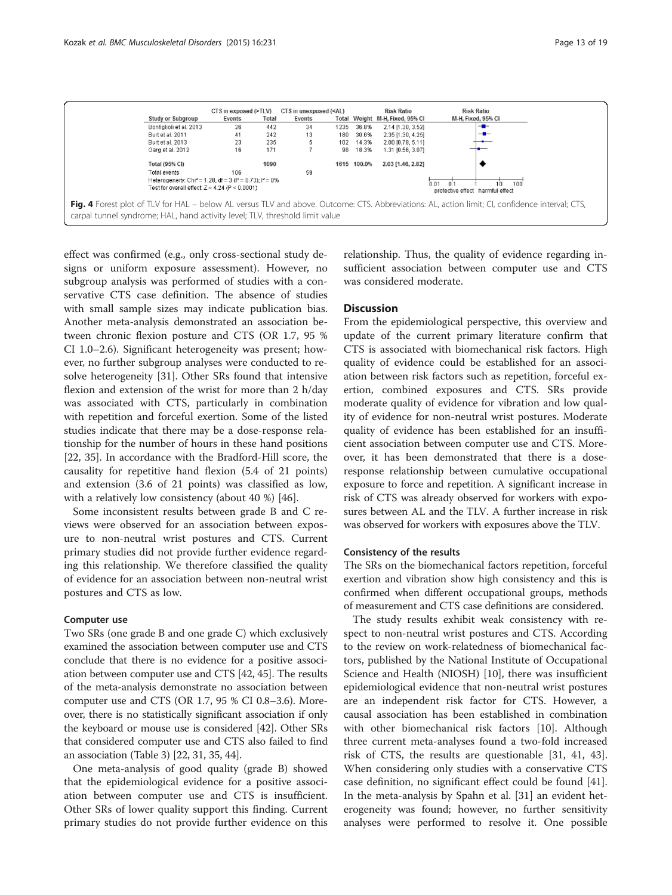<span id="page-12-0"></span>

effect was confirmed (e.g., only cross-sectional study designs or uniform exposure assessment). However, no subgroup analysis was performed of studies with a conservative CTS case definition. The absence of studies with small sample sizes may indicate publication bias. Another meta-analysis demonstrated an association between chronic flexion posture and CTS (OR 1.7, 95 % CI 1.0–2.6). Significant heterogeneity was present; however, no further subgroup analyses were conducted to resolve heterogeneity [\[31](#page-17-0)]. Other SRs found that intensive flexion and extension of the wrist for more than 2 h/day was associated with CTS, particularly in combination with repetition and forceful exertion. Some of the listed studies indicate that there may be a dose-response relationship for the number of hours in these hand positions [[22, 35](#page-17-0)]. In accordance with the Bradford-Hill score, the causality for repetitive hand flexion (5.4 of 21 points) and extension (3.6 of 21 points) was classified as low, with a relatively low consistency (about 40 %) [[46\]](#page-17-0).

Some inconsistent results between grade B and C reviews were observed for an association between exposure to non-neutral wrist postures and CTS. Current primary studies did not provide further evidence regarding this relationship. We therefore classified the quality of evidence for an association between non-neutral wrist postures and CTS as low.

#### Computer use

Two SRs (one grade B and one grade C) which exclusively examined the association between computer use and CTS conclude that there is no evidence for a positive association between computer use and CTS [\[42, 45\]](#page-17-0). The results of the meta-analysis demonstrate no association between computer use and CTS (OR 1.7, 95 % CI 0.8–3.6). Moreover, there is no statistically significant association if only the keyboard or mouse use is considered [\[42](#page-17-0)]. Other SRs that considered computer use and CTS also failed to find an association (Table [3\)](#page-6-0) [[22](#page-17-0), [31, 35, 44](#page-17-0)].

One meta-analysis of good quality (grade B) showed that the epidemiological evidence for a positive association between computer use and CTS is insufficient. Other SRs of lower quality support this finding. Current primary studies do not provide further evidence on this relationship. Thus, the quality of evidence regarding insufficient association between computer use and CTS was considered moderate.

#### **Discussion**

From the epidemiological perspective, this overview and update of the current primary literature confirm that CTS is associated with biomechanical risk factors. High quality of evidence could be established for an association between risk factors such as repetition, forceful exertion, combined exposures and CTS. SRs provide moderate quality of evidence for vibration and low quality of evidence for non-neutral wrist postures. Moderate quality of evidence has been established for an insufficient association between computer use and CTS. Moreover, it has been demonstrated that there is a doseresponse relationship between cumulative occupational exposure to force and repetition. A significant increase in risk of CTS was already observed for workers with exposures between AL and the TLV. A further increase in risk was observed for workers with exposures above the TLV.

#### Consistency of the results

The SRs on the biomechanical factors repetition, forceful exertion and vibration show high consistency and this is confirmed when different occupational groups, methods of measurement and CTS case definitions are considered.

The study results exhibit weak consistency with respect to non-neutral wrist postures and CTS. According to the review on work-relatedness of biomechanical factors, published by the National Institute of Occupational Science and Health (NIOSH) [[10\]](#page-17-0), there was insufficient epidemiological evidence that non-neutral wrist postures are an independent risk factor for CTS. However, a causal association has been established in combination with other biomechanical risk factors [[10\]](#page-17-0). Although three current meta-analyses found a two-fold increased risk of CTS, the results are questionable [[31](#page-17-0), [41](#page-17-0), [43](#page-17-0)]. When considering only studies with a conservative CTS case definition, no significant effect could be found [\[41](#page-17-0)]. In the meta-analysis by Spahn et al. [[31](#page-17-0)] an evident heterogeneity was found; however, no further sensitivity analyses were performed to resolve it. One possible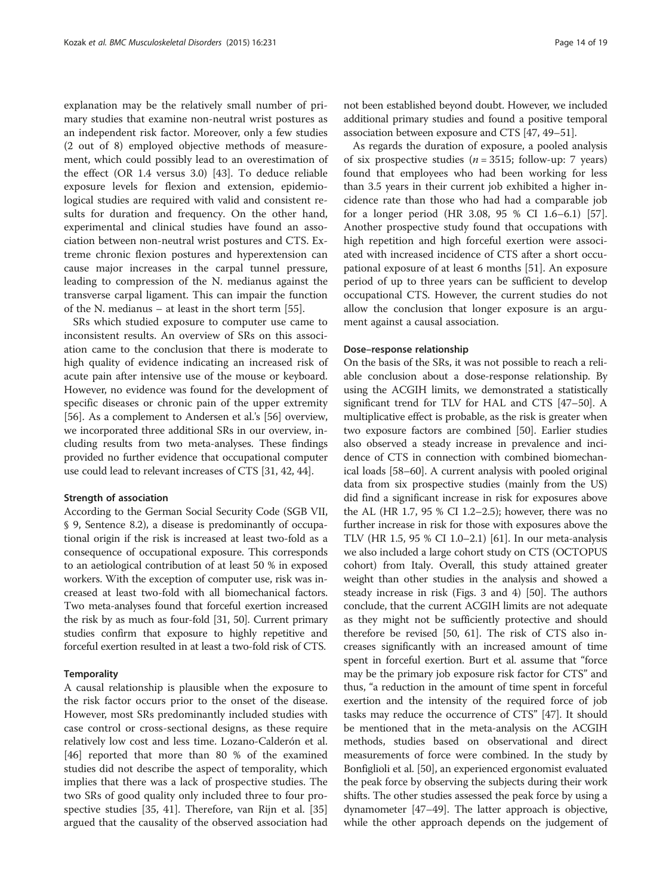explanation may be the relatively small number of primary studies that examine non-neutral wrist postures as an independent risk factor. Moreover, only a few studies (2 out of 8) employed objective methods of measurement, which could possibly lead to an overestimation of the effect (OR 1.4 versus 3.0) [[43](#page-17-0)]. To deduce reliable exposure levels for flexion and extension, epidemiological studies are required with valid and consistent results for duration and frequency. On the other hand, experimental and clinical studies have found an association between non-neutral wrist postures and CTS. Extreme chronic flexion postures and hyperextension can cause major increases in the carpal tunnel pressure, leading to compression of the N. medianus against the transverse carpal ligament. This can impair the function of the N. medianus – at least in the short term [\[55](#page-18-0)].

SRs which studied exposure to computer use came to inconsistent results. An overview of SRs on this association came to the conclusion that there is moderate to high quality of evidence indicating an increased risk of acute pain after intensive use of the mouse or keyboard. However, no evidence was found for the development of specific diseases or chronic pain of the upper extremity [[56\]](#page-18-0). As a complement to Andersen et al.'s [\[56\]](#page-18-0) overview, we incorporated three additional SRs in our overview, including results from two meta-analyses. These findings provided no further evidence that occupational computer use could lead to relevant increases of CTS [[31](#page-17-0), [42, 44\]](#page-17-0).

#### Strength of association

According to the German Social Security Code (SGB VII, § 9, Sentence 8.2), a disease is predominantly of occupational origin if the risk is increased at least two-fold as a consequence of occupational exposure. This corresponds to an aetiological contribution of at least 50 % in exposed workers. With the exception of computer use, risk was increased at least two-fold with all biomechanical factors. Two meta-analyses found that forceful exertion increased the risk by as much as four-fold [\[31, 50](#page-17-0)]. Current primary studies confirm that exposure to highly repetitive and forceful exertion resulted in at least a two-fold risk of CTS.

#### **Temporality**

A causal relationship is plausible when the exposure to the risk factor occurs prior to the onset of the disease. However, most SRs predominantly included studies with case control or cross-sectional designs, as these require relatively low cost and less time. Lozano-Calderón et al. [[46\]](#page-17-0) reported that more than 80 % of the examined studies did not describe the aspect of temporality, which implies that there was a lack of prospective studies. The two SRs of good quality only included three to four prospective studies [[35, 41\]](#page-17-0). Therefore, van Rijn et al. [[35](#page-17-0)] argued that the causality of the observed association had not been established beyond doubt. However, we included additional primary studies and found a positive temporal association between exposure and CTS [[47](#page-17-0), [49](#page-17-0)–[51](#page-17-0)].

As regards the duration of exposure, a pooled analysis of six prospective studies ( $n = 3515$ ; follow-up: 7 years) found that employees who had been working for less than 3.5 years in their current job exhibited a higher incidence rate than those who had had a comparable job for a longer period (HR 3.08, 95 % CI 1.6–6.1) [\[57](#page-18-0)]. Another prospective study found that occupations with high repetition and high forceful exertion were associated with increased incidence of CTS after a short occupational exposure of at least 6 months [\[51](#page-17-0)]. An exposure period of up to three years can be sufficient to develop occupational CTS. However, the current studies do not allow the conclusion that longer exposure is an argument against a causal association.

#### Dose–response relationship

On the basis of the SRs, it was not possible to reach a reliable conclusion about a dose-response relationship. By using the ACGIH limits, we demonstrated a statistically significant trend for TLV for HAL and CTS [\[47](#page-17-0)–[50](#page-17-0)]. A multiplicative effect is probable, as the risk is greater when two exposure factors are combined [[50](#page-17-0)]. Earlier studies also observed a steady increase in prevalence and incidence of CTS in connection with combined biomechanical loads [\[58](#page-18-0)–[60](#page-18-0)]. A current analysis with pooled original data from six prospective studies (mainly from the US) did find a significant increase in risk for exposures above the AL (HR 1.7, 95 % CI 1.2–2.5); however, there was no further increase in risk for those with exposures above the TLV (HR 1.5, 95 % CI 1.0–2.1) [[61](#page-18-0)]. In our meta-analysis we also included a large cohort study on CTS (OCTOPUS cohort) from Italy. Overall, this study attained greater weight than other studies in the analysis and showed a steady increase in risk (Figs. [3](#page-11-0) and [4](#page-12-0)) [\[50\]](#page-17-0). The authors conclude, that the current ACGIH limits are not adequate as they might not be sufficiently protective and should therefore be revised [[50](#page-17-0), [61\]](#page-18-0). The risk of CTS also increases significantly with an increased amount of time spent in forceful exertion. Burt et al. assume that "force may be the primary job exposure risk factor for CTS" and thus, "a reduction in the amount of time spent in forceful exertion and the intensity of the required force of job tasks may reduce the occurrence of CTS" [\[47\]](#page-17-0). It should be mentioned that in the meta-analysis on the ACGIH methods, studies based on observational and direct measurements of force were combined. In the study by Bonfiglioli et al. [[50](#page-17-0)], an experienced ergonomist evaluated the peak force by observing the subjects during their work shifts. The other studies assessed the peak force by using a dynamometer [\[47](#page-17-0)–[49](#page-17-0)]. The latter approach is objective, while the other approach depends on the judgement of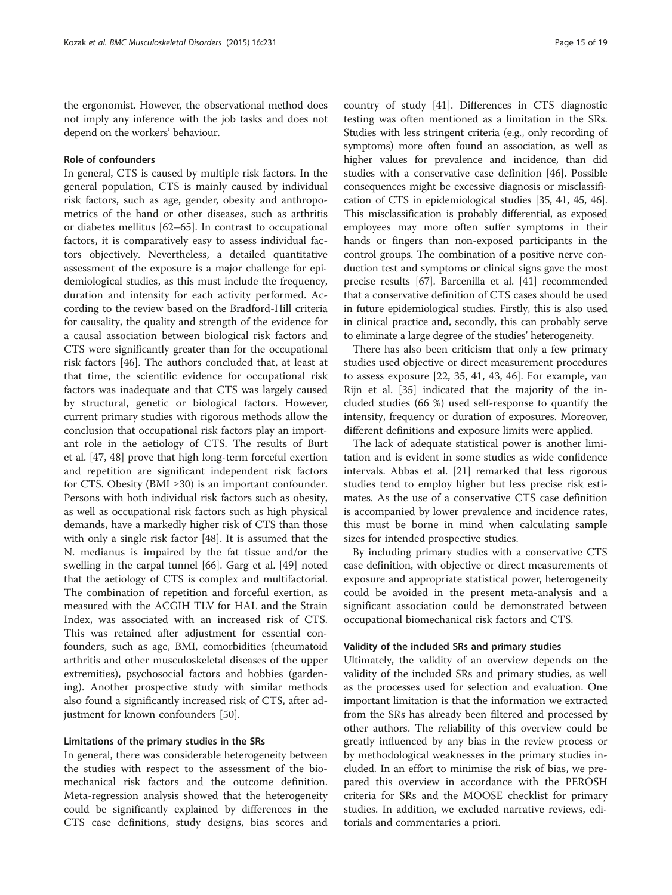the ergonomist. However, the observational method does not imply any inference with the job tasks and does not depend on the workers' behaviour.

#### Role of confounders

In general, CTS is caused by multiple risk factors. In the general population, CTS is mainly caused by individual risk factors, such as age, gender, obesity and anthropometrics of the hand or other diseases, such as arthritis or diabetes mellitus [\[62](#page-18-0)–[65\]](#page-18-0). In contrast to occupational factors, it is comparatively easy to assess individual factors objectively. Nevertheless, a detailed quantitative assessment of the exposure is a major challenge for epidemiological studies, as this must include the frequency, duration and intensity for each activity performed. According to the review based on the Bradford-Hill criteria for causality, the quality and strength of the evidence for a causal association between biological risk factors and CTS were significantly greater than for the occupational risk factors [\[46](#page-17-0)]. The authors concluded that, at least at that time, the scientific evidence for occupational risk factors was inadequate and that CTS was largely caused by structural, genetic or biological factors. However, current primary studies with rigorous methods allow the conclusion that occupational risk factors play an important role in the aetiology of CTS. The results of Burt et al. [\[47](#page-17-0), [48](#page-17-0)] prove that high long-term forceful exertion and repetition are significant independent risk factors for CTS. Obesity (BMI ≥30) is an important confounder. Persons with both individual risk factors such as obesity, as well as occupational risk factors such as high physical demands, have a markedly higher risk of CTS than those with only a single risk factor [[48\]](#page-17-0). It is assumed that the N. medianus is impaired by the fat tissue and/or the swelling in the carpal tunnel [[66\]](#page-18-0). Garg et al. [[49\]](#page-17-0) noted that the aetiology of CTS is complex and multifactorial. The combination of repetition and forceful exertion, as measured with the ACGIH TLV for HAL and the Strain Index, was associated with an increased risk of CTS. This was retained after adjustment for essential confounders, such as age, BMI, comorbidities (rheumatoid arthritis and other musculoskeletal diseases of the upper extremities), psychosocial factors and hobbies (gardening). Another prospective study with similar methods also found a significantly increased risk of CTS, after adjustment for known confounders [[50](#page-17-0)].

#### Limitations of the primary studies in the SRs

In general, there was considerable heterogeneity between the studies with respect to the assessment of the biomechanical risk factors and the outcome definition. Meta-regression analysis showed that the heterogeneity could be significantly explained by differences in the CTS case definitions, study designs, bias scores and

country of study [[41](#page-17-0)]. Differences in CTS diagnostic testing was often mentioned as a limitation in the SRs. Studies with less stringent criteria (e.g., only recording of symptoms) more often found an association, as well as higher values for prevalence and incidence, than did studies with a conservative case definition [\[46](#page-17-0)]. Possible consequences might be excessive diagnosis or misclassification of CTS in epidemiological studies [[35](#page-17-0), [41, 45](#page-17-0), [46](#page-17-0)]. This misclassification is probably differential, as exposed employees may more often suffer symptoms in their hands or fingers than non-exposed participants in the control groups. The combination of a positive nerve conduction test and symptoms or clinical signs gave the most precise results [\[67\]](#page-18-0). Barcenilla et al. [\[41](#page-17-0)] recommended that a conservative definition of CTS cases should be used in future epidemiological studies. Firstly, this is also used in clinical practice and, secondly, this can probably serve to eliminate a large degree of the studies' heterogeneity.

There has also been criticism that only a few primary studies used objective or direct measurement procedures to assess exposure [\[22, 35](#page-17-0), [41, 43](#page-17-0), [46\]](#page-17-0). For example, van Rijn et al. [[35](#page-17-0)] indicated that the majority of the included studies (66 %) used self-response to quantify the intensity, frequency or duration of exposures. Moreover, different definitions and exposure limits were applied.

The lack of adequate statistical power is another limitation and is evident in some studies as wide confidence intervals. Abbas et al. [[21](#page-17-0)] remarked that less rigorous studies tend to employ higher but less precise risk estimates. As the use of a conservative CTS case definition is accompanied by lower prevalence and incidence rates, this must be borne in mind when calculating sample sizes for intended prospective studies.

By including primary studies with a conservative CTS case definition, with objective or direct measurements of exposure and appropriate statistical power, heterogeneity could be avoided in the present meta-analysis and a significant association could be demonstrated between occupational biomechanical risk factors and CTS.

#### Validity of the included SRs and primary studies

Ultimately, the validity of an overview depends on the validity of the included SRs and primary studies, as well as the processes used for selection and evaluation. One important limitation is that the information we extracted from the SRs has already been filtered and processed by other authors. The reliability of this overview could be greatly influenced by any bias in the review process or by methodological weaknesses in the primary studies included. In an effort to minimise the risk of bias, we prepared this overview in accordance with the PEROSH criteria for SRs and the MOOSE checklist for primary studies. In addition, we excluded narrative reviews, editorials and commentaries a priori.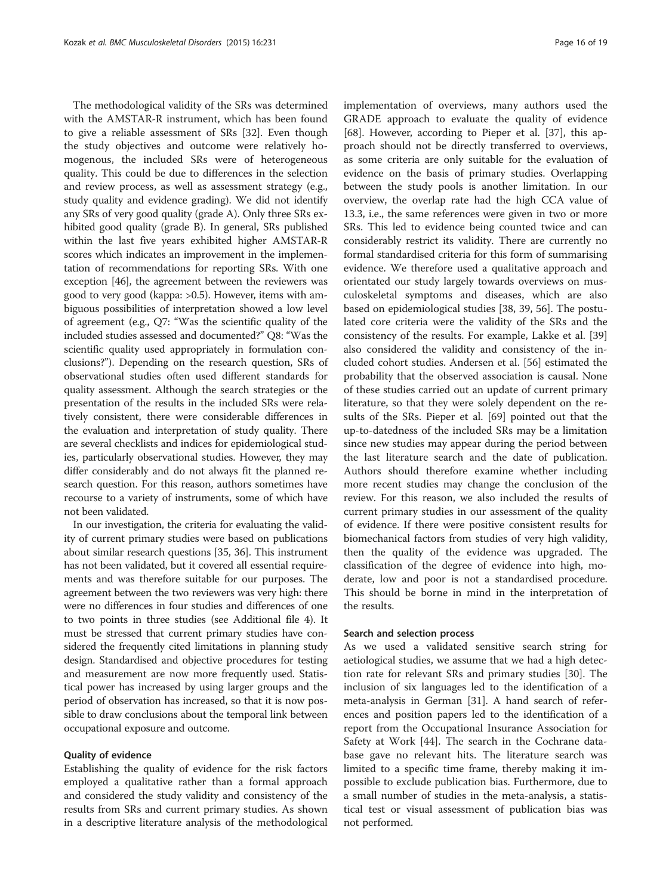The methodological validity of the SRs was determined with the AMSTAR-R instrument, which has been found to give a reliable assessment of SRs [[32\]](#page-17-0). Even though the study objectives and outcome were relatively homogenous, the included SRs were of heterogeneous quality. This could be due to differences in the selection and review process, as well as assessment strategy (e.g., study quality and evidence grading). We did not identify any SRs of very good quality (grade A). Only three SRs exhibited good quality (grade B). In general, SRs published within the last five years exhibited higher AMSTAR-R scores which indicates an improvement in the implementation of recommendations for reporting SRs. With one exception [[46\]](#page-17-0), the agreement between the reviewers was good to very good (kappa: >0.5). However, items with ambiguous possibilities of interpretation showed a low level of agreement (e.g., Q7: "Was the scientific quality of the included studies assessed and documented?" Q8: "Was the scientific quality used appropriately in formulation conclusions?"). Depending on the research question, SRs of observational studies often used different standards for quality assessment. Although the search strategies or the presentation of the results in the included SRs were relatively consistent, there were considerable differences in the evaluation and interpretation of study quality. There are several checklists and indices for epidemiological studies, particularly observational studies. However, they may differ considerably and do not always fit the planned research question. For this reason, authors sometimes have recourse to a variety of instruments, some of which have not been validated.

In our investigation, the criteria for evaluating the validity of current primary studies were based on publications about similar research questions [\[35, 36](#page-17-0)]. This instrument has not been validated, but it covered all essential requirements and was therefore suitable for our purposes. The agreement between the two reviewers was very high: there were no differences in four studies and differences of one to two points in three studies (see Additional file [4\)](#page-16-0). It must be stressed that current primary studies have considered the frequently cited limitations in planning study design. Standardised and objective procedures for testing and measurement are now more frequently used. Statistical power has increased by using larger groups and the period of observation has increased, so that it is now possible to draw conclusions about the temporal link between occupational exposure and outcome.

#### Quality of evidence

Establishing the quality of evidence for the risk factors employed a qualitative rather than a formal approach and considered the study validity and consistency of the results from SRs and current primary studies. As shown in a descriptive literature analysis of the methodological

implementation of overviews, many authors used the GRADE approach to evaluate the quality of evidence [[68\]](#page-18-0). However, according to Pieper et al. [\[37](#page-17-0)], this approach should not be directly transferred to overviews, as some criteria are only suitable for the evaluation of evidence on the basis of primary studies. Overlapping between the study pools is another limitation. In our overview, the overlap rate had the high CCA value of 13.3, i.e., the same references were given in two or more SRs. This led to evidence being counted twice and can considerably restrict its validity. There are currently no formal standardised criteria for this form of summarising evidence. We therefore used a qualitative approach and orientated our study largely towards overviews on musculoskeletal symptoms and diseases, which are also based on epidemiological studies [\[38](#page-17-0), [39](#page-17-0), [56\]](#page-18-0). The postulated core criteria were the validity of the SRs and the consistency of the results. For example, Lakke et al. [[39](#page-17-0)] also considered the validity and consistency of the included cohort studies. Andersen et al. [\[56\]](#page-18-0) estimated the probability that the observed association is causal. None of these studies carried out an update of current primary literature, so that they were solely dependent on the results of the SRs. Pieper et al. [[69](#page-18-0)] pointed out that the up-to-datedness of the included SRs may be a limitation since new studies may appear during the period between the last literature search and the date of publication. Authors should therefore examine whether including more recent studies may change the conclusion of the review. For this reason, we also included the results of current primary studies in our assessment of the quality of evidence. If there were positive consistent results for biomechanical factors from studies of very high validity, then the quality of the evidence was upgraded. The classification of the degree of evidence into high, moderate, low and poor is not a standardised procedure. This should be borne in mind in the interpretation of the results.

#### Search and selection process

As we used a validated sensitive search string for aetiological studies, we assume that we had a high detection rate for relevant SRs and primary studies [[30](#page-17-0)]. The inclusion of six languages led to the identification of a meta-analysis in German [[31](#page-17-0)]. A hand search of references and position papers led to the identification of a report from the Occupational Insurance Association for Safety at Work [[44](#page-17-0)]. The search in the Cochrane database gave no relevant hits. The literature search was limited to a specific time frame, thereby making it impossible to exclude publication bias. Furthermore, due to a small number of studies in the meta-analysis, a statistical test or visual assessment of publication bias was not performed.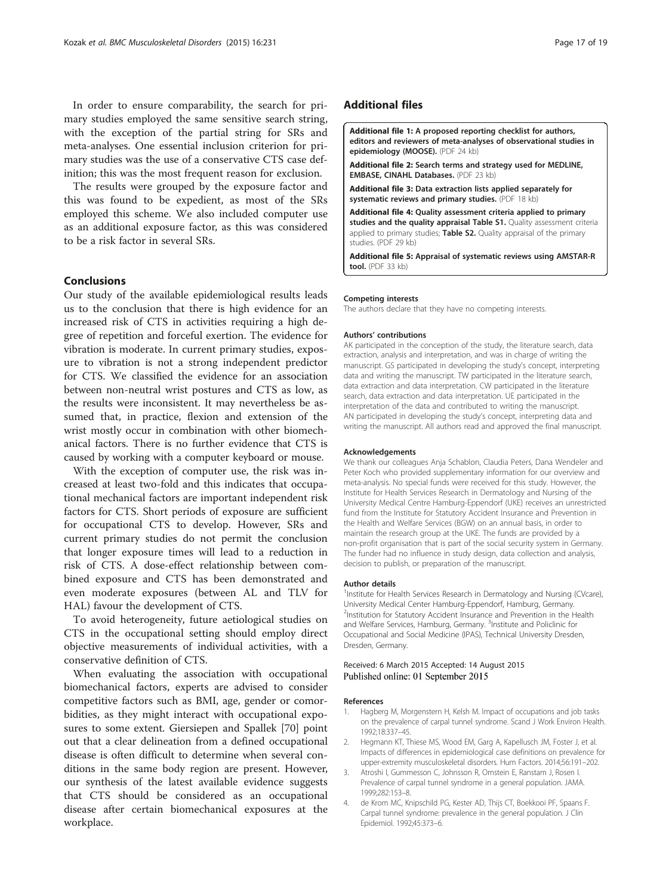<span id="page-16-0"></span>In order to ensure comparability, the search for primary studies employed the same sensitive search string, with the exception of the partial string for SRs and meta-analyses. One essential inclusion criterion for primary studies was the use of a conservative CTS case definition; this was the most frequent reason for exclusion.

The results were grouped by the exposure factor and this was found to be expedient, as most of the SRs employed this scheme. We also included computer use as an additional exposure factor, as this was considered to be a risk factor in several SRs.

#### Conclusions

Our study of the available epidemiological results leads us to the conclusion that there is high evidence for an increased risk of CTS in activities requiring a high degree of repetition and forceful exertion. The evidence for vibration is moderate. In current primary studies, exposure to vibration is not a strong independent predictor for CTS. We classified the evidence for an association between non-neutral wrist postures and CTS as low, as the results were inconsistent. It may nevertheless be assumed that, in practice, flexion and extension of the wrist mostly occur in combination with other biomechanical factors. There is no further evidence that CTS is caused by working with a computer keyboard or mouse.

With the exception of computer use, the risk was increased at least two-fold and this indicates that occupational mechanical factors are important independent risk factors for CTS. Short periods of exposure are sufficient for occupational CTS to develop. However, SRs and current primary studies do not permit the conclusion that longer exposure times will lead to a reduction in risk of CTS. A dose-effect relationship between combined exposure and CTS has been demonstrated and even moderate exposures (between AL and TLV for HAL) favour the development of CTS.

To avoid heterogeneity, future aetiological studies on CTS in the occupational setting should employ direct objective measurements of individual activities, with a conservative definition of CTS.

When evaluating the association with occupational biomechanical factors, experts are advised to consider competitive factors such as BMI, age, gender or comorbidities, as they might interact with occupational exposures to some extent. Giersiepen and Spallek [\[70](#page-18-0)] point out that a clear delineation from a defined occupational disease is often difficult to determine when several conditions in the same body region are present. However, our synthesis of the latest available evidence suggests that CTS should be considered as an occupational disease after certain biomechanical exposures at the workplace.

### Additional files

[Additional file 1:](http://www.biomedcentral.com/content/supplementary/s12891-015-0685-0-s1.pdf) A proposed reporting checklist for authors, editors and reviewers of meta-analyses of observational studies in epidemiology (MOOSE). (PDF 24 kb)

[Additional file 2:](http://www.biomedcentral.com/content/supplementary/s12891-015-0685-0-s2.pdf) Search terms and strategy used for MEDLINE, EMBASE, CINAHL Databases. (PDF 23 kb)

[Additional file 3:](http://www.biomedcentral.com/content/supplementary/s12891-015-0685-0-s3.pdf) Data extraction lists applied separately for systematic reviews and primary studies. (PDF 18 kb)

[Additional file 4:](http://www.biomedcentral.com/content/supplementary/s12891-015-0685-0-s4.pdf) Quality assessment criteria applied to primary studies and the quality appraisal Table S1. Quality assessment criteria applied to primary studies; Table S2. Quality appraisal of the primary studies. (PDF 29 kb)

[Additional file 5:](http://www.biomedcentral.com/content/supplementary/s12891-015-0685-0-s5.pdf) Appraisal of systematic reviews using AMSTAR-R tool. (PDF 33 kb)

#### Competing interests

The authors declare that they have no competing interests.

#### Authors' contributions

AK participated in the conception of the study, the literature search, data extraction, analysis and interpretation, and was in charge of writing the manuscript. GS participated in developing the study's concept, interpreting data and writing the manuscript. TW participated in the literature search, data extraction and data interpretation. CW participated in the literature search, data extraction and data interpretation. UE participated in the interpretation of the data and contributed to writing the manuscript. AN participated in developing the study's concept, interpreting data and writing the manuscript. All authors read and approved the final manuscript.

#### Acknowledgements

We thank our colleagues Anja Schablon, Claudia Peters, Dana Wendeler and Peter Koch who provided supplementary information for our overview and meta-analysis. No special funds were received for this study. However, the Institute for Health Services Research in Dermatology and Nursing of the University Medical Centre Hamburg-Eppendorf (UKE) receives an unrestricted fund from the Institute for Statutory Accident Insurance and Prevention in the Health and Welfare Services (BGW) on an annual basis, in order to maintain the research group at the UKE. The funds are provided by a non-profit organisation that is part of the social security system in Germany. The funder had no influence in study design, data collection and analysis, decision to publish, or preparation of the manuscript.

#### Author details

<sup>1</sup>Institute for Health Services Research in Dermatology and Nursing (CVcare), University Medical Center Hamburg-Eppendorf, Hamburg, Germany. <sup>2</sup>Institution for Statutory Accident Insurance and Prevention in the Health and Welfare Services, Hamburg, Germany. <sup>3</sup>Institute and Policlinic for Occupational and Social Medicine (IPAS), Technical University Dresden, Dresden, Germany.

#### Received: 6 March 2015 Accepted: 14 August 2015 Published online: 01 September 2015

#### References

- Hagberg M, Morgenstern H, Kelsh M. Impact of occupations and job tasks on the prevalence of carpal tunnel syndrome. Scand J Work Environ Health. 1992;18:337–45.
- 2. Hegmann KT, Thiese MS, Wood EM, Garg A, Kapellusch JM, Foster J, et al. Impacts of differences in epidemiological case definitions on prevalence for upper-extremity musculoskeletal disorders. Hum Factors. 2014;56:191–202.
- 3. Atroshi I, Gummesson C, Johnsson R, Ornstein E, Ranstam J, Rosen I. Prevalence of carpal tunnel syndrome in a general population. JAMA. 1999;282:153–8.
- 4. de Krom MC, Knipschild PG, Kester AD, Thijs CT, Boekkooi PF, Spaans F. Carpal tunnel syndrome: prevalence in the general population. J Clin Epidemiol. 1992;45:373–6.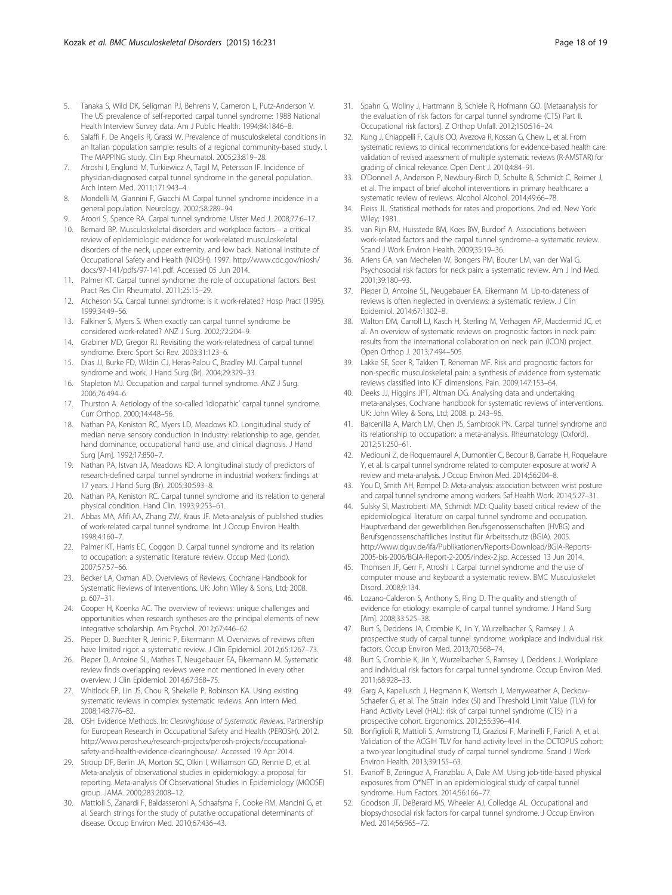- <span id="page-17-0"></span>5. Tanaka S, Wild DK, Seligman PJ, Behrens V, Cameron L, Putz-Anderson V. The US prevalence of self-reported carpal tunnel syndrome: 1988 National Health Interview Survey data. Am J Public Health. 1994;84:1846–8.
- 6. Salaffi F, De Angelis R, Grassi W. Prevalence of musculoskeletal conditions in an Italian population sample: results of a regional community-based study. I. The MAPPING study. Clin Exp Rheumatol. 2005;23:819–28.
- 7. Atroshi I, Englund M, Turkiewicz A, Tagil M, Petersson IF. Incidence of physician-diagnosed carpal tunnel syndrome in the general population. Arch Intern Med. 2011;171:943–4.
- 8. Mondelli M, Giannini F, Giacchi M. Carpal tunnel syndrome incidence in a general population. Neurology. 2002;58:289–94.
- 9. Aroori S, Spence RA. Carpal tunnel syndrome. Ulster Med J. 2008;77:6–17.
- 10. Bernard BP. Musculoskeletal disorders and workplace factors a critical review of epidemiologic evidence for work-related musculoskeletal disorders of the neck, upper extremity, and low back. National Institute of Occupational Safety and Health (NIOSH). 1997. [http://www.cdc.gov/niosh/](http://www.cdc.gov/niosh/docs/97-141/pdfs/97-141.pdf) [docs/97-141/pdfs/97-141.pdf.](http://www.cdc.gov/niosh/docs/97-141/pdfs/97-141.pdf) Accessed 05 Jun 2014.
- 11. Palmer KT. Carpal tunnel syndrome: the role of occupational factors. Best Pract Res Clin Rheumatol. 2011;25:15–29.
- 12. Atcheson SG. Carpal tunnel syndrome: is it work-related? Hosp Pract (1995). 1999;34:49–56.
- 13. Falkiner S, Myers S. When exactly can carpal tunnel syndrome be considered work-related? ANZ J Surg. 2002;72:204–9.
- 14. Grabiner MD, Gregor RJ. Revisiting the work-relatedness of carpal tunnel syndrome. Exerc Sport Sci Rev. 2003;31:123–6.
- Dias JJ, Burke FD, Wildin CJ, Heras-Palou C, Bradley MJ. Carpal tunnel syndrome and work. J Hand Surg (Br). 2004;29:329–33.
- 16. Stapleton MJ. Occupation and carpal tunnel syndrome. ANZ J Surg. 2006;76:494–6.
- 17. Thurston A. Aetiology of the so-called 'idiopathic' carpal tunnel syndrome. Curr Orthop. 2000;14:448–56.
- 18. Nathan PA, Keniston RC, Myers LD, Meadows KD. Longitudinal study of median nerve sensory conduction in industry: relationship to age, gender, hand dominance, occupational hand use, and clinical diagnosis. J Hand Surg [Am]. 1992;17:850–7.
- 19. Nathan PA, Istvan JA, Meadows KD. A longitudinal study of predictors of research-defined carpal tunnel syndrome in industrial workers: findings at 17 years. J Hand Surg (Br). 2005;30:593–8.
- 20. Nathan PA, Keniston RC. Carpal tunnel syndrome and its relation to general physical condition. Hand Clin. 1993;9:253–61.
- 21. Abbas MA, Afifi AA, Zhang ZW, Kraus JF. Meta-analysis of published studies of work-related carpal tunnel syndrome. Int J Occup Environ Health. 1998;4:160–7.
- 22. Palmer KT, Harris EC, Coggon D. Carpal tunnel syndrome and its relation to occupation: a systematic literature review. Occup Med (Lond). 2007;57:57–66.
- 23. Becker LA, Oxman AD. Overviews of Reviews, Cochrane Handbook for Systematic Reviews of Interventions. UK: John Wiley & Sons, Ltd; 2008. p. 607–31.
- 24. Cooper H, Koenka AC. The overview of reviews: unique challenges and opportunities when research syntheses are the principal elements of new integrative scholarship. Am Psychol. 2012;67:446–62.
- 25. Pieper D, Buechter R, Jerinic P, Eikermann M. Overviews of reviews often have limited rigor: a systematic review. J Clin Epidemiol. 2012;65:1267–73.
- 26. Pieper D, Antoine SL, Mathes T, Neugebauer EA, Eikermann M. Systematic review finds overlapping reviews were not mentioned in every other overview. J Clin Epidemiol. 2014;67:368–75.
- 27. Whitlock EP, Lin JS, Chou R, Shekelle P, Robinson KA. Using existing systematic reviews in complex systematic reviews. Ann Intern Med. 2008;148:776–82.
- 28. OSH Evidence Methods. In: Clearinghouse of Systematic Reviews. Partnership for European Research in Occupational Safety and Health (PEROSH). 2012. [http://www.perosh.eu/research-projects/perosh-projects/occupational](http://www.perosh.eu/research-projects/perosh-projects/occupational-safety-and-health-evidence-clearinghouse/)[safety-and-health-evidence-clearinghouse/.](http://www.perosh.eu/research-projects/perosh-projects/occupational-safety-and-health-evidence-clearinghouse/) Accessed 19 Apr 2014.
- 29. Stroup DF, Berlin JA, Morton SC, Olkin I, Williamson GD, Rennie D, et al. Meta-analysis of observational studies in epidemiology: a proposal for reporting. Meta-analysis Of Observational Studies in Epidemiology (MOOSE) group. JAMA. 2000;283:2008–12.
- 30. Mattioli S, Zanardi F, Baldasseroni A, Schaafsma F, Cooke RM, Mancini G, et al. Search strings for the study of putative occupational determinants of disease. Occup Environ Med. 2010;67:436–43.
- 31. Spahn G, Wollny J, Hartmann B, Schiele R, Hofmann GO. [Metaanalysis for the evaluation of risk factors for carpal tunnel syndrome (CTS) Part II. Occupational risk factors]. Z Orthop Unfall. 2012;150:516–24.
- 32. Kung J, Chiappelli F, Cajulis OO, Avezova R, Kossan G, Chew L, et al. From systematic reviews to clinical recommendations for evidence-based health care: validation of revised assessment of multiple systematic reviews (R-AMSTAR) for grading of clinical relevance. Open Dent J. 2010;4:84–91.
- 33. O'Donnell A, Anderson P, Newbury-Birch D, Schulte B, Schmidt C, Reimer J, et al. The impact of brief alcohol interventions in primary healthcare: a systematic review of reviews. Alcohol Alcohol. 2014;49:66–78.
- Fleiss JL. Statistical methods for rates and proportions. 2nd ed. New York: Wiley; 1981.
- 35. van Rijn RM, Huisstede BM, Koes BW, Burdorf A. Associations between work-related factors and the carpal tunnel syndrome–a systematic review. Scand J Work Environ Health. 2009;35:19–36.
- 36. Ariens GA, van Mechelen W, Bongers PM, Bouter LM, van der Wal G. Psychosocial risk factors for neck pain: a systematic review. Am J Ind Med. 2001;39:180–93.
- 37. Pieper D, Antoine SL, Neugebauer EA, Eikermann M. Up-to-dateness of reviews is often neglected in overviews: a systematic review. J Clin Epidemiol. 2014;67:1302–8.
- 38. Walton DM, Carroll LJ, Kasch H, Sterling M, Verhagen AP, Macdermid JC, et al. An overview of systematic reviews on prognostic factors in neck pain: results from the international collaboration on neck pain (ICON) project. Open Orthop J. 2013;7:494–505.
- 39. Lakke SE, Soer R, Takken T, Reneman MF. Risk and prognostic factors for non-specific musculoskeletal pain: a synthesis of evidence from systematic reviews classified into ICF dimensions. Pain. 2009;147:153–64.
- 40. Deeks JJ, Higgins JPT, Altman DG. Analysing data and undertaking meta-analyses, Cochrane handbook for systematic reviews of interventions. UK: John Wiley & Sons, Ltd; 2008. p. 243–96.
- 41. Barcenilla A, March LM, Chen JS, Sambrook PN. Carpal tunnel syndrome and its relationship to occupation: a meta-analysis. Rheumatology (Oxford). 2012;51:250–61.
- 42. Mediouni Z, de Roquemaurel A, Dumontier C, Becour B, Garrabe H, Roquelaure Y, et al. Is carpal tunnel syndrome related to computer exposure at work? A review and meta-analysis. J Occup Environ Med. 2014;56:204–8.
- 43. You D, Smith AH, Rempel D. Meta-analysis: association between wrist posture and carpal tunnel syndrome among workers. Saf Health Work. 2014;5:27–31.
- 44. Sulsky SI, Mastroberti MA, Schmidt MD: Quality based critical review of the epidemiological literature on carpal tunnel syndrome and occupation. Hauptverband der gewerblichen Berufsgenossenschaften (HVBG) and Berufsgenossenschaftliches Institut für Arbeitsschutz (BGIA). 2005. [http://www.dguv.de/ifa/Publikationen/Reports-Download/BGIA-Reports-](http://www.dguv.de/ifa/Publikationen/Reports-Download/BGIA-Reports-2005-bis-2006/BGIA-Report-2-2005/index-2.jsp)[2005-bis-2006/BGIA-Report-2-2005/index-2.jsp.](http://www.dguv.de/ifa/Publikationen/Reports-Download/BGIA-Reports-2005-bis-2006/BGIA-Report-2-2005/index-2.jsp) Accessed 13 Jun 2014.
- 45. Thomsen JF, Gerr F, Atroshi I. Carpal tunnel syndrome and the use of computer mouse and keyboard: a systematic review. BMC Musculoskelet Disord. 2008;9:134.
- 46. Lozano-Calderon S, Anthony S, Ring D. The quality and strength of evidence for etiology: example of carpal tunnel syndrome. J Hand Surg [Am]. 2008;33:525–38.
- 47. Burt S, Deddens JA, Crombie K, Jin Y, Wurzelbacher S, Ramsey J. A prospective study of carpal tunnel syndrome: workplace and individual risk factors. Occup Environ Med. 2013;70:568–74.
- 48. Burt S, Crombie K, Jin Y, Wurzelbacher S, Ramsey J, Deddens J. Workplace and individual risk factors for carpal tunnel syndrome. Occup Environ Med. 2011;68:928–33.
- 49. Garg A, Kapellusch J, Hegmann K, Wertsch J, Merryweather A, Deckow-Schaefer G, et al. The Strain Index (SI) and Threshold Limit Value (TLV) for Hand Activity Level (HAL): risk of carpal tunnel syndrome (CTS) in a prospective cohort. Ergonomics. 2012;55:396–414.
- 50. Bonfiglioli R, Mattioli S, Armstrong TJ, Graziosi F, Marinelli F, Farioli A, et al. Validation of the ACGIH TLV for hand activity level in the OCTOPUS cohort: a two-year longitudinal study of carpal tunnel syndrome. Scand J Work Environ Health. 2013;39:155–63.
- 51. Evanoff B, Zeringue A, Franzblau A, Dale AM. Using job-title-based physical exposures from O\*NET in an epidemiological study of carpal tunnel syndrome. Hum Factors. 2014;56:166–77.
- 52. Goodson JT, DeBerard MS, Wheeler AJ, Colledge AL. Occupational and biopsychosocial risk factors for carpal tunnel syndrome. J Occup Environ Med. 2014;56:965–72.